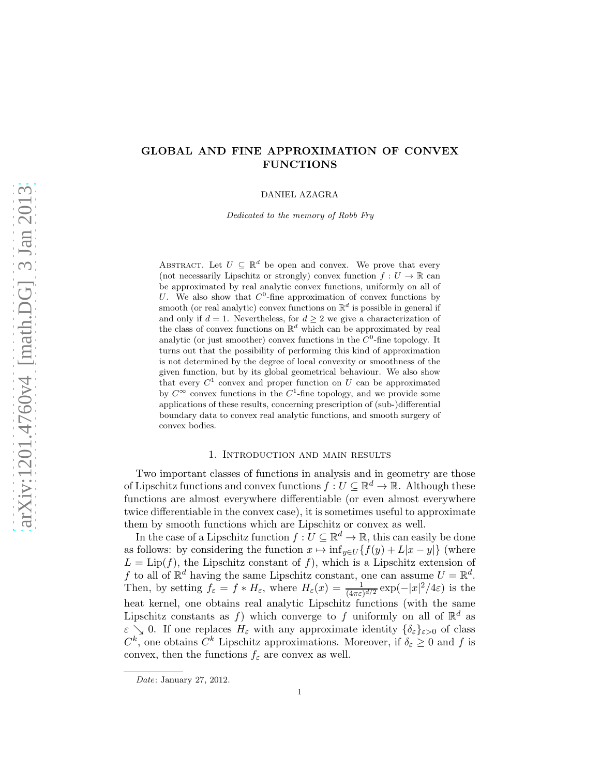# GLOBAL AND FINE APPROXIMATION OF CONVEX FUNCTIONS

DANIEL AZAGRA

Dedicated to the memory of Robb Fry

ABSTRACT. Let  $U \subseteq \mathbb{R}^d$  be open and convex. We prove that every (not necessarily Lipschitz or strongly) convex function  $f: U \to \mathbb{R}$  can be approximated by real analytic convex functions, uniformly on all of U. We also show that  $C^0$ -fine approximation of convex functions by smooth (or real analytic) convex functions on  $\mathbb{R}^d$  is possible in general if and only if  $d = 1$ . Nevertheless, for  $d \geq 2$  we give a characterization of the class of convex functions on  $\mathbb{R}^d$  which can be approximated by real analytic (or just smoother) convex functions in the  $C^0$ -fine topology. It turns out that the possibility of performing this kind of approximation is not determined by the degree of local convexity or smoothness of the given function, but by its global geometrical behaviour. We also show that every  $C^1$  convex and proper function on U can be approximated by  $C^{\infty}$  convex functions in the  $C^1$ -fine topology, and we provide some applications of these results, concerning prescription of (sub-)differential boundary data to convex real analytic functions, and smooth surgery of convex bodies.

## 1. Introduction and main results

Two important classes of functions in analysis and in geometry are those of Lipschitz functions and convex functions  $f: U \subseteq \mathbb{R}^d \to \mathbb{R}$ . Although these functions are almost everywhere differentiable (or even almost everywhere twice differentiable in the convex case), it is sometimes useful to approximate them by smooth functions which are Lipschitz or convex as well.

In the case of a Lipschitz function  $f: U \subseteq \mathbb{R}^d \to \mathbb{R}$ , this can easily be done as follows: by considering the function  $x \mapsto \inf_{y \in U} \{f(y) + L|x - y|\}$  (where  $L = \text{Lip}(f)$ , the Lipschitz constant of f), which is a Lipschitz extension of f to all of  $\mathbb{R}^d$  having the same Lipschitz constant, one can assume  $U = \mathbb{R}^d$ . Then, by setting  $f_{\varepsilon} = f * H_{\varepsilon}$ , where  $H_{\varepsilon}(x) = \frac{1}{(4\pi\varepsilon)^{d/2}} \exp(-|x|^2/4\varepsilon)$  is the heat kernel, one obtains real analytic Lipschitz functions (with the same Lipschitz constants as f) which converge to f uniformly on all of  $\mathbb{R}^d$  as  $\varepsilon \searrow 0$ . If one replaces  $H_{\varepsilon}$  with any approximate identity  $\{\delta_{\varepsilon}\}_{{\varepsilon}>0}$  of class  $C^k$ , one obtains  $C^k$  Lipschitz approximations. Moreover, if  $\delta_{\varepsilon} \geq 0$  and f is convex, then the functions  $f_{\varepsilon}$  are convex as well.

Date: January 27, 2012.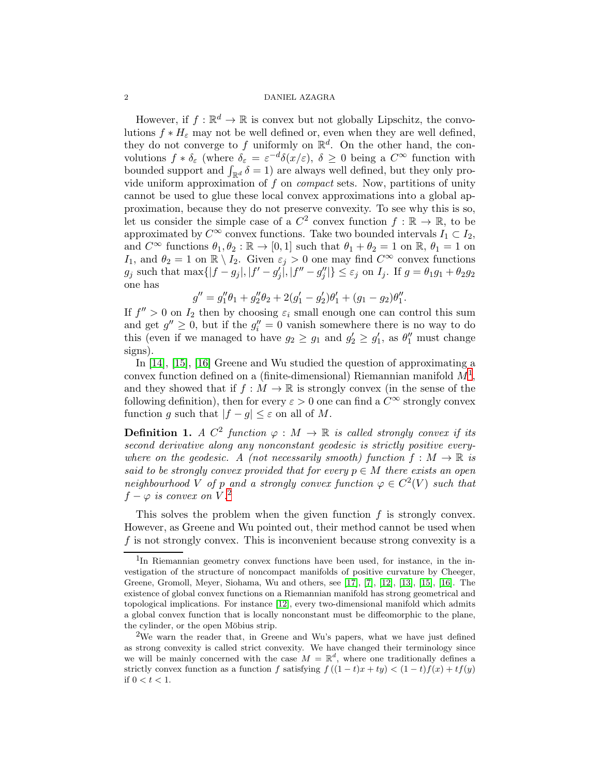However, if  $f: \mathbb{R}^d \to \mathbb{R}$  is convex but not globally Lipschitz, the convolutions  $f * H_{\varepsilon}$  may not be well defined or, even when they are well defined, they do not converge to f uniformly on  $\mathbb{R}^d$ . On the other hand, the convolutions  $f * \delta_{\varepsilon}$  (where  $\delta_{\varepsilon} = \varepsilon^{-d} \delta(x/\varepsilon), \ \delta \geq 0$  being a  $C^{\infty}$  function with bounded support and  $\int_{\mathbb{R}^d} \delta = 1$ ) are always well defined, but they only provide uniform approximation of  $f$  on *compact* sets. Now, partitions of unity cannot be used to glue these local convex approximations into a global approximation, because they do not preserve convexity. To see why this is so, let us consider the simple case of a  $C^2$  convex function  $f : \mathbb{R} \to \mathbb{R}$ , to be approximated by  $C^{\infty}$  convex functions. Take two bounded intervals  $I_1 \subset I_2$ , and  $C^{\infty}$  functions  $\theta_1, \theta_2 : \mathbb{R} \to [0, 1]$  such that  $\theta_1 + \theta_2 = 1$  on  $\mathbb{R}, \theta_1 = 1$  on I<sub>1</sub>, and  $\theta_2 = 1$  on  $\mathbb{R} \setminus I_2$ . Given  $\varepsilon_j > 0$  one may find  $C^{\infty}$  convex functions  $g_j$  such that  $\max\{|f - g_j|, |f' - g'_j|, |f'' - g''_j|\} \leq \varepsilon_j$  on  $I_j$ . If  $g = \theta_1 g_1 + \theta_2 g_2$ one has

$$
g'' = g_1''\theta_1 + g_2''\theta_2 + 2(g_1' - g_2')\theta_1' + (g_1 - g_2)\theta_1''.
$$

If  $f'' > 0$  on  $I_2$  then by choosing  $\varepsilon_i$  small enough one can control this sum and get  $g'' \geq 0$ , but if the  $g''_i = 0$  vanish somewhere there is no way to do this (even if we managed to have  $g_2 \ge g_1$  and  $g'_2 \ge g'_1$ , as  $\theta''_1$  must change signs).

In [\[14\]](#page-28-0), [\[15\]](#page-28-1), [\[16\]](#page-28-2) Greene and Wu studied the question of approximating a convex function defined on a (finite-dimensional) Riemannian manifold  $M<sup>1</sup>$  $M<sup>1</sup>$  $M<sup>1</sup>$ , and they showed that if  $f : M \to \mathbb{R}$  is strongly convex (in the sense of the following definition), then for every  $\varepsilon > 0$  one can find a  $C^{\infty}$  strongly convex function g such that  $|f - g| \leq \varepsilon$  on all of M.

**Definition 1.** A  $C^2$  function  $\varphi : M \to \mathbb{R}$  is called strongly convex if its second derivative along any nonconstant geodesic is strictly positive everywhere on the geodesic. A (not necessarily smooth) function  $f : M \to \mathbb{R}$  is said to be strongly convex provided that for every  $p \in M$  there exists an open neighbourhood V of p and a strongly convex function  $\varphi \in C^2(V)$  such that  $f - \varphi$  is convex on V.<sup>[2](#page-1-1)</sup>

This solves the problem when the given function  $f$  is strongly convex. However, as Greene and Wu pointed out, their method cannot be used when f is not strongly convex. This is inconvenient because strong convexity is a

<span id="page-1-0"></span><sup>&</sup>lt;sup>1</sup>In Riemannian geometry convex functions have been used, for instance, in the investigation of the structure of noncompact manifolds of positive curvature by Cheeger, Greene, Gromoll, Meyer, Siohama, Wu and others, see [\[17\]](#page-28-3), [\[7\]](#page-28-4), [\[12\]](#page-28-5), [\[13\]](#page-28-6), [\[15\]](#page-28-1), [\[16\]](#page-28-2). The existence of global convex functions on a Riemannian manifold has strong geometrical and topological implications. For instance [\[12\]](#page-28-5), every two-dimensional manifold which admits a global convex function that is locally nonconstant must be diffeomorphic to the plane, the cylinder, or the open Möbius strip.

<span id="page-1-1"></span><sup>&</sup>lt;sup>2</sup>We warn the reader that, in Greene and Wu's papers, what we have just defined as strong convexity is called strict convexity. We have changed their terminology since we will be mainly concerned with the case  $M = \mathbb{R}^d$ , where one traditionally defines a strictly convex function as a function f satisfying  $f((1-t)x + ty) < (1-t)f(x) + tf(y)$ if  $0 < t < 1$ .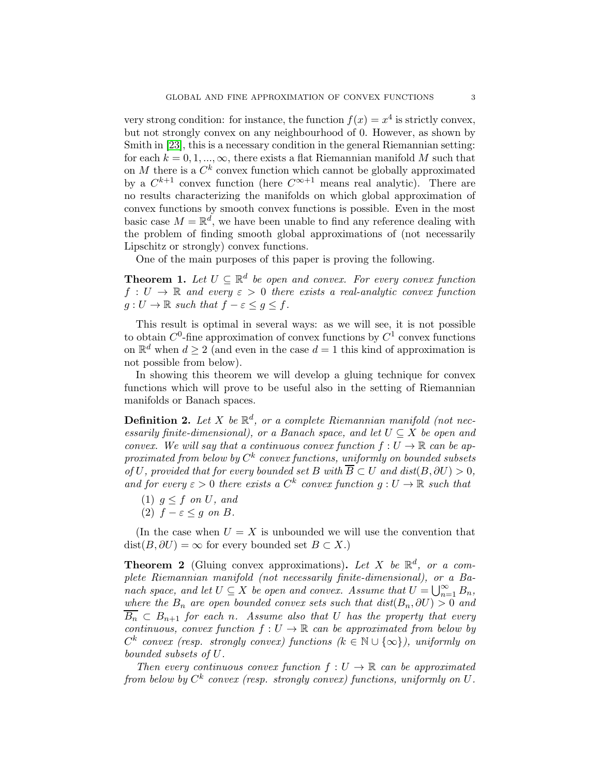very strong condition: for instance, the function  $f(x) = x^4$  is strictly convex, but not strongly convex on any neighbourhood of 0. However, as shown by Smith in [\[23\]](#page-29-0), this is a necessary condition in the general Riemannian setting: for each  $k = 0, 1, ..., \infty$ , there exists a flat Riemannian manifold M such that on M there is a  $C^k$  convex function which cannot be globally approximated by a  $C^{k+1}$  convex function (here  $C^{\infty+1}$  means real analytic). There are no results characterizing the manifolds on which global approximation of convex functions by smooth convex functions is possible. Even in the most basic case  $M = \mathbb{R}^d$ , we have been unable to find any reference dealing with the problem of finding smooth global approximations of (not necessarily Lipschitz or strongly) convex functions.

One of the main purposes of this paper is proving the following.

<span id="page-2-1"></span>**Theorem 1.** Let  $U \subseteq \mathbb{R}^d$  be open and convex. For every convex function  $f: U \to \mathbb{R}$  and every  $\varepsilon > 0$  there exists a real-analytic convex function  $g: U \to \mathbb{R}$  such that  $f - \varepsilon \leq g \leq f$ .

This result is optimal in several ways: as we will see, it is not possible to obtain  $C^0$ -fine approximation of convex functions by  $C^1$  convex functions on  $\mathbb{R}^d$  when  $d \geq 2$  (and even in the case  $d = 1$  this kind of approximation is not possible from below).

In showing this theorem we will develop a gluing technique for convex functions which will prove to be useful also in the setting of Riemannian manifolds or Banach spaces.

**Definition 2.** Let X be  $\mathbb{R}^d$ , or a complete Riemannian manifold (not necessarily finite-dimensional), or a Banach space, and let  $U \subseteq X$  be open and convex. We will say that a continuous convex function  $f: U \to \mathbb{R}$  can be approximated from below by  $C^k$  convex functions, uniformly on bounded subsets of U, provided that for every bounded set B with  $\overline{B} \subset U$  and  $dist(B, \partial U) > 0$ , and for every  $\varepsilon > 0$  there exists a  $C^k$  convex function  $g: U \to \mathbb{R}$  such that

- (1)  $g \leq f$  on U, and
- (2)  $f \varepsilon \leq g$  on B.

(In the case when  $U = X$  is unbounded we will use the convention that  $dist(B, \partial U) = \infty$  for every bounded set  $B \subset X$ .)

<span id="page-2-0"></span>**Theorem 2** (Gluing convex approximations). Let X be  $\mathbb{R}^d$ , or a complete Riemannian manifold (not necessarily finite-dimensional), or a Banach space, and let  $U \subseteq X$  be open and convex. Assume that  $U = \bigcup_{n=1}^{\infty} B_n$ , where the  $B_n$  are open bounded convex sets such that  $dist(B_n, \partial U) > 0$  and  $\overline{B_n} \subset B_{n+1}$  for each n. Assume also that U has the property that every continuous, convex function  $f: U \to \mathbb{R}$  can be approximated from below by  $C^k$  convex (resp. strongly convex) functions  $(k \in \mathbb{N} \cup \{\infty\})$ , uniformly on bounded subsets of U.

Then every continuous convex function  $f: U \to \mathbb{R}$  can be approximated from below by  $C^k$  convex (resp. strongly convex) functions, uniformly on  $U$ .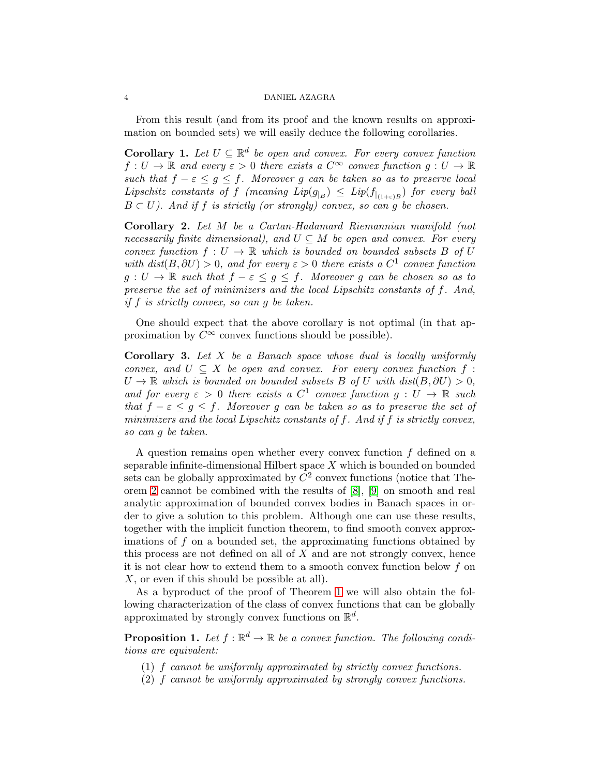From this result (and from its proof and the known results on approximation on bounded sets) we will easily deduce the following corollaries.

<span id="page-3-0"></span>**Corollary 1.** Let  $U \subseteq \mathbb{R}^d$  be open and convex. For every convex function  $f: U \to \mathbb{R}$  and every  $\varepsilon > 0$  there exists a  $C^{\infty}$  convex function  $g: U \to \mathbb{R}$ such that  $f - \varepsilon \leq g \leq f$ . Moreover g can be taken so as to preserve local Lipschitz constants of f (meaning  $Lip(g_{|B}) \leq Lip(f_{|_{(1+\varepsilon)B}})$  for every ball  $B \subset U$ ). And if f is strictly (or strongly) convex, so can g be chosen.

<span id="page-3-1"></span>Corollary 2. Let M be a Cartan-Hadamard Riemannian manifold (not necessarily finite dimensional), and  $U \subseteq M$  be open and convex. For every convex function  $f: U \to \mathbb{R}$  which is bounded on bounded subsets B of U with  $dist(B, \partial U) > 0$ , and for every  $\varepsilon > 0$  there exists a  $C^1$  convex function  $g: U \to \mathbb{R}$  such that  $f - \varepsilon \leq g \leq f$ . Moreover g can be chosen so as to preserve the set of minimizers and the local Lipschitz constants of f. And, if f is strictly convex, so can g be taken.

One should expect that the above corollary is not optimal (in that approximation by  $C^{\infty}$  convex functions should be possible).

<span id="page-3-2"></span>Corollary 3. Let X be a Banach space whose dual is locally uniformly convex, and  $U \subseteq X$  be open and convex. For every convex function f:  $U \to \mathbb{R}$  which is bounded on bounded subsets B of U with  $dist(B, \partial U) > 0$ , and for every  $\varepsilon > 0$  there exists a  $C^1$  convex function  $g: U \to \mathbb{R}$  such that  $f - \varepsilon \leq g \leq f$ . Moreover g can be taken so as to preserve the set of minimizers and the local Lipschitz constants of f. And if f is strictly convex, so can g be taken.

A question remains open whether every convex function f defined on a separable infinite-dimensional Hilbert space X which is bounded on bounded sets can be globally approximated by  $C^2$  convex functions (notice that Theorem [2](#page-2-0) cannot be combined with the results of [\[8\]](#page-28-7), [\[9\]](#page-28-8) on smooth and real analytic approximation of bounded convex bodies in Banach spaces in order to give a solution to this problem. Although one can use these results, together with the implicit function theorem, to find smooth convex approximations of  $f$  on a bounded set, the approximating functions obtained by this process are not defined on all of  $X$  and are not strongly convex, hence it is not clear how to extend them to a smooth convex function below f on X, or even if this should be possible at all).

As a byproduct of the proof of Theorem [1](#page-2-1) we will also obtain the following characterization of the class of convex functions that can be globally approximated by strongly convex functions on  $\mathbb{R}^d$ .

<span id="page-3-3"></span>**Proposition 1.** Let  $f : \mathbb{R}^d \to \mathbb{R}$  be a convex function. The following conditions are equivalent:

- (1) f cannot be uniformly approximated by strictly convex functions.
- (2) f cannot be uniformly approximated by strongly convex functions.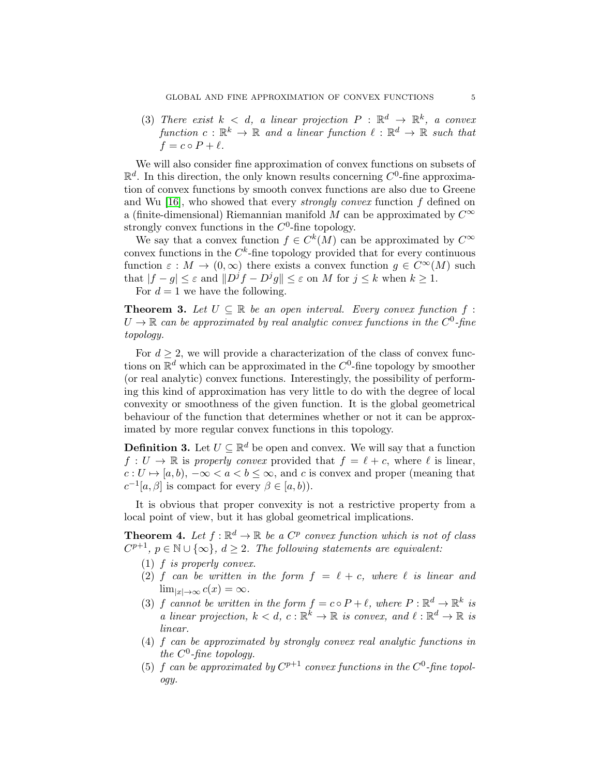(3) There exist  $k < d$ , a linear projection  $P : \mathbb{R}^d \to \mathbb{R}^k$ , a convex function  $c : \mathbb{R}^k \to \mathbb{R}$  and a linear function  $\ell : \mathbb{R}^d \to \mathbb{R}$  such that  $f = c \circ P + \ell$ .

We will also consider fine approximation of convex functions on subsets of  $\mathbb{R}^d$ . In this direction, the only known results concerning  $C^0$ -fine approximation of convex functions by smooth convex functions are also due to Greene and Wu [\[16\]](#page-28-2), who showed that every *strongly convex* function f defined on a (finite-dimensional) Riemannian manifold M can be approximated by  $C^{\infty}$ strongly convex functions in the  $C^0$ -fine topology.

We say that a convex function  $f \in C^k(M)$  can be approximated by  $C^{\infty}$ convex functions in the  $C^k$ -fine topology provided that for every continuous function  $\varepsilon : M \to (0,\infty)$  there exists a convex function  $g \in C^{\infty}(M)$  such that  $|f - g| \leq \varepsilon$  and  $||D^jf - D^jg|| \leq \varepsilon$  on M for  $j \leq k$  when  $k \geq 1$ .

For  $d = 1$  we have the following.

<span id="page-4-0"></span>**Theorem 3.** Let  $U \subseteq \mathbb{R}$  be an open interval. Every convex function  $f$ :  $U \to \mathbb{R}$  can be approximated by real analytic convex functions in the  $C^0$ -fine topology.

For  $d \geq 2$ , we will provide a characterization of the class of convex functions on  $\mathbb{R}^d$  which can be approximated in the  $C^0$ -fine topology by smoother (or real analytic) convex functions. Interestingly, the possibility of performing this kind of approximation has very little to do with the degree of local convexity or smoothness of the given function. It is the global geometrical behaviour of the function that determines whether or not it can be approximated by more regular convex functions in this topology.

**Definition 3.** Let  $U \subseteq \mathbb{R}^d$  be open and convex. We will say that a function  $f: U \to \mathbb{R}$  is properly convex provided that  $f = \ell + c$ , where  $\ell$  is linear,  $c: U \mapsto [a, b), -\infty < a < b \leq \infty$ , and c is convex and proper (meaning that  $c^{-1}[a, \beta]$  is compact for every  $\beta \in [a, b)$ .

It is obvious that proper convexity is not a restrictive property from a local point of view, but it has global geometrical implications.

<span id="page-4-1"></span>**Theorem 4.** Let  $f : \mathbb{R}^d \to \mathbb{R}$  be a  $C^p$  convex function which is not of class  $C^{p+1}, p \in \mathbb{N} \cup \{\infty\}, d \geq 2$ . The following statements are equivalent:

- (1) f is properly convex.
- (2) f can be written in the form  $f = \ell + c$ , where  $\ell$  is linear and  $\lim_{|x|\to\infty} c(x) = \infty.$
- (3) f cannot be written in the form  $f = c \circ P + \ell$ , where  $P : \mathbb{R}^d \to \mathbb{R}^k$  is a linear projection,  $k < d$ ,  $c : \mathbb{R}^k \to \mathbb{R}$  is convex, and  $\ell : \mathbb{R}^d \to \mathbb{R}$  is linear.
- (4) f can be approximated by strongly convex real analytic functions in the  $C^0$ -fine topology.
- (5) f can be approximated by  $C^{p+1}$  convex functions in the  $C^0$ -fine topology.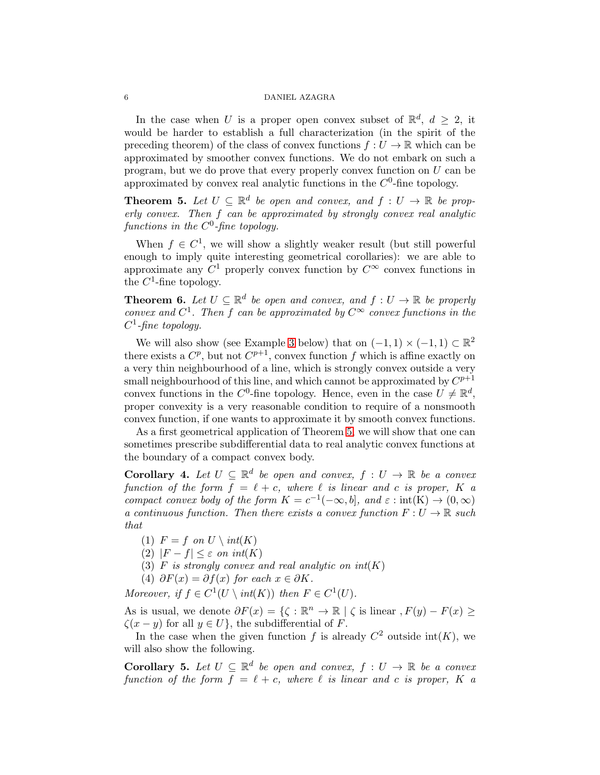In the case when U is a proper open convex subset of  $\mathbb{R}^d$ ,  $d \geq 2$ , it would be harder to establish a full characterization (in the spirit of the preceding theorem) of the class of convex functions  $f: U \to \mathbb{R}$  which can be approximated by smoother convex functions. We do not embark on such a program, but we do prove that every properly convex function on U can be approximated by convex real analytic functions in the  $C<sup>0</sup>$ -fine topology.

<span id="page-5-0"></span>**Theorem 5.** Let  $U \subseteq \mathbb{R}^d$  be open and convex, and  $f : U \to \mathbb{R}$  be properly convex. Then f can be approximated by strongly convex real analytic functions in the  $C^0$ -fine topology.

When  $f \in C^1$ , we will show a slightly weaker result (but still powerful enough to imply quite interesting geometrical corollaries): we are able to approximate any  $C^1$  properly convex function by  $C^{\infty}$  convex functions in the  $C^1$ -fine topology.

<span id="page-5-1"></span>**Theorem 6.** Let  $U \subseteq \mathbb{R}^d$  be open and convex, and  $f : U \to \mathbb{R}$  be properly convex and  $C^1$ . Then f can be approximated by  $C^{\infty}$  convex functions in the  $C^1$ -fine topology.

We will also show (see Example [3](#page-17-0) below) that on  $(-1,1) \times (-1,1) \subset \mathbb{R}^2$ there exists a  $C^p$ , but not  $C^{p+1}$ , convex function f which is affine exactly on a very thin neighbourhood of a line, which is strongly convex outside a very small neighbourhood of this line, and which cannot be approximated by  $C^{p+1}$ convex functions in the C<sup>0</sup>-fine topology. Hence, even in the case  $U \neq \mathbb{R}^d$ , proper convexity is a very reasonable condition to require of a nonsmooth convex function, if one wants to approximate it by smooth convex functions.

As a first geometrical application of Theorem [5,](#page-5-0) we will show that one can sometimes prescribe subdifferential data to real analytic convex functions at the boundary of a compact convex body.

<span id="page-5-2"></span>**Corollary 4.** Let  $U \subseteq \mathbb{R}^d$  be open and convex,  $f : U \to \mathbb{R}$  be a convex function of the form  $f = \ell + c$ , where  $\ell$  is linear and c is proper, K a compact convex body of the form  $K = c^{-1}(-\infty, b]$ , and  $\varepsilon : \text{int}(K) \to (0, \infty)$ a continuous function. Then there exists a convex function  $F: U \to \mathbb{R}$  such that

- (1)  $F = f$  on  $U \setminus int(K)$
- (2)  $|F f| \leq \varepsilon$  on int(K)
- (3)  $F$  is strongly convex and real analytic on  $int(K)$
- (4)  $\partial F(x) = \partial f(x)$  for each  $x \in \partial K$ .

Moreover, if  $f \in C^1(U \setminus int(K))$  then  $F \in C^1(U)$ .

As is usual, we denote  $\partial F(x) = \{ \zeta : \mathbb{R}^n \to \mathbb{R} \mid \zeta \text{ is linear}, F(y) - F(x) \geq 0 \}$  $\zeta(x-y)$  for all  $y \in U$ , the subdifferential of F.

In the case when the given function f is already  $C^2$  outside  $\text{int}(K)$ , we will also show the following.

<span id="page-5-3"></span>**Corollary 5.** Let  $U \subseteq \mathbb{R}^d$  be open and convex,  $f : U \to \mathbb{R}$  be a convex function of the form  $f = \ell + c$ , where  $\ell$  is linear and c is proper, K a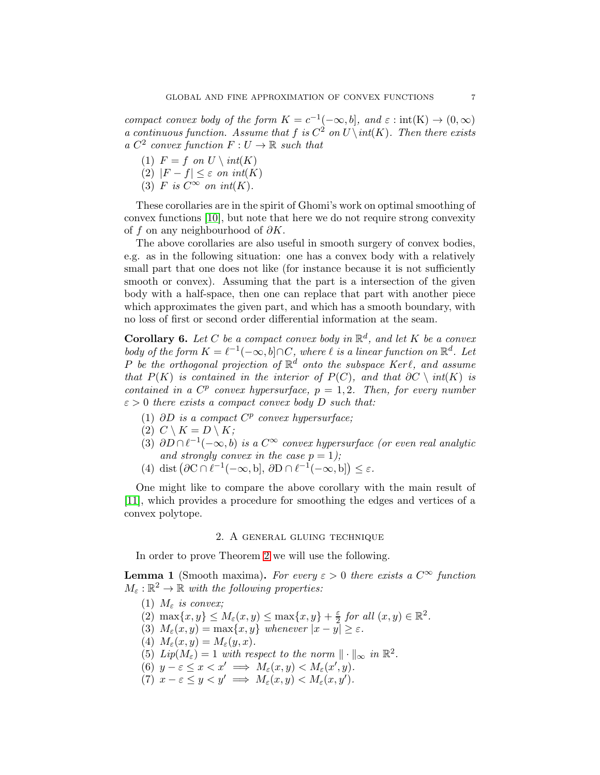compact convex body of the form  $K = c^{-1}(-\infty, b]$ , and  $\varepsilon : \text{int}(K) \to (0, \infty)$ a continuous function. Assume that f is  $C^2$  on  $U \setminus int(K)$ . Then there exists a  $C^2$  convex function  $F: U \to \mathbb{R}$  such that

- (1)  $F = f$  on  $U \setminus int(K)$
- (2)  $|F f| \leq \varepsilon$  on  $int(K)$
- (3) F is  $C^{\infty}$  on int(K).

These corollaries are in the spirit of Ghomi's work on optimal smoothing of convex functions [\[10\]](#page-28-9), but note that here we do not require strong convexity of f on any neighbourhood of  $\partial K$ .

The above corollaries are also useful in smooth surgery of convex bodies, e.g. as in the following situation: one has a convex body with a relatively small part that one does not like (for instance because it is not sufficiently smooth or convex). Assuming that the part is a intersection of the given body with a half-space, then one can replace that part with another piece which approximates the given part, and which has a smooth boundary, with no loss of first or second order differential information at the seam.

**Corollary 6.** Let C be a compact convex body in  $\mathbb{R}^d$ , and let K be a convex body of the form  $K = \ell^{-1}(-\infty, b] \cap C$ , where  $\ell$  is a linear function on  $\mathbb{R}^d$ . Let P be the orthogonal projection of  $\mathbb{R}^d$  onto the subspace Kerl, and assume that  $P(K)$  is contained in the interior of  $P(C)$ , and that  $\partial C \setminus int(K)$  is contained in a  $C^p$  convex hypersurface,  $p = 1, 2$ . Then, for every number  $\varepsilon > 0$  there exists a compact convex body D such that:

- (1)  $\partial D$  is a compact  $C^p$  convex hypersurface;
- (2)  $C \setminus K = D \setminus K$ ;
- (3)  $\partial D \cap \ell^{-1}(-\infty, b)$  is a  $C^{\infty}$  convex hypersurface (or even real analytic and strongly convex in the case  $p = 1$ );
- (4) dist  $(\partial C \cap \ell^{-1}(-\infty, b], \partial D \cap \ell^{-1}(-\infty, b]) \leq \varepsilon$ .

One might like to compare the above corollary with the main result of [\[11\]](#page-28-10), which provides a procedure for smoothing the edges and vertices of a convex polytope.

## 2. A general gluing technique

In order to prove Theorem [2](#page-2-0) we will use the following.

<span id="page-6-0"></span>**Lemma 1** (Smooth maxima). For every  $\varepsilon > 0$  there exists a  $C^{\infty}$  function  $M_{\varepsilon}: \mathbb{R}^2 \to \mathbb{R}$  with the following properties:

- (1)  $M_{\varepsilon}$  is convex;
- (2)  $\max\{x, y\} \leq M_{\varepsilon}(x, y) \leq \max\{x, y\} + \frac{\varepsilon}{2}$  $\frac{\varepsilon}{2}$  for all  $(x, y) \in \mathbb{R}^2$ .
- (3)  $M_{\varepsilon}(x, y) = \max\{x, y\}$  whenever  $|x y| \geq \varepsilon$ .
- (4)  $M_{\varepsilon}(x, y) = M_{\varepsilon}(y, x)$ .
- (5)  $Lip(M_{\varepsilon}) = 1$  with respect to the norm  $\|\cdot\|_{\infty}$  in  $\mathbb{R}^2$ .
- (6)  $y \varepsilon \leq x < x' \implies M_{\varepsilon}(x, y) < M_{\varepsilon}(x', y).$
- (7)  $x \varepsilon \leq y < y' \implies M_{\varepsilon}(x, y) < M_{\varepsilon}(x, y').$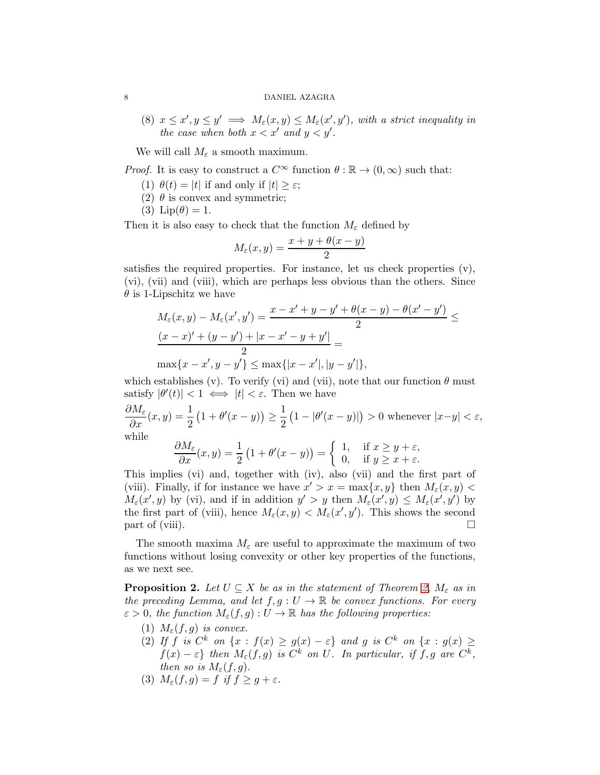(8)  $x \leq x', y \leq y' \implies M_{\varepsilon}(x, y) \leq M_{\varepsilon}(x', y')$ , with a strict inequality in the case when both  $x < x'$  and  $y < y'$ .

We will call  $M_{\varepsilon}$  a smooth maximum.

*Proof.* It is easy to construct a  $C^{\infty}$  function  $\theta : \mathbb{R} \to (0, \infty)$  such that:

- (1)  $\theta(t) = |t|$  if and only if  $|t| > \varepsilon$ ;
- (2)  $\theta$  is convex and symmetric;
- (3)  $\text{Lip}(\theta) = 1$ .

Then it is also easy to check that the function  $M_{\varepsilon}$  defined by

$$
M_{\varepsilon}(x,y) = \frac{x+y+\theta(x-y)}{2}
$$

satisfies the required properties. For instance, let us check properties (v), (vi), (vii) and (viii), which are perhaps less obvious than the others. Since  $\theta$  is 1-Lipschitz we have

$$
M_{\varepsilon}(x, y) - M_{\varepsilon}(x', y') = \frac{x - x' + y - y' + \theta(x - y) - \theta(x' - y')}{2} \le \frac{(x - x)' + (y - y') + |x - x' - y + y'|}{2} = \max\{x - x', y - y'\} \le \max\{|x - x'|, |y - y'|\},
$$

which establishes (v). To verify (vi) and (vii), note that our function  $\theta$  must satisfy  $|\theta'(t)| < 1 \iff |t| < \varepsilon$ . Then we have

$$
\frac{\partial M_{\varepsilon}}{\partial x}(x,y) = \frac{1}{2} \left( 1 + \theta'(x - y) \right) \ge \frac{1}{2} \left( 1 - |\theta'(x - y)| \right) > 0 \text{ whenever } |x - y| < \varepsilon,
$$
\nwhile

while

$$
\frac{\partial M_{\varepsilon}}{\partial x}(x,y) = \frac{1}{2} \left( 1 + \theta'(x - y) \right) = \begin{cases} 1, & \text{if } x \ge y + \varepsilon, \\ 0, & \text{if } y \ge x + \varepsilon. \end{cases}
$$

This implies (vi) and, together with (iv), also (vii) and the first part of (viii). Finally, if for instance we have  $x' > x = \max\{x, y\}$  then  $M_{\varepsilon}(x, y)$  $M_{\varepsilon}(x', y)$  by (vi), and if in addition  $y' > y$  then  $M_{\varepsilon}(x', y) \leq M_{\varepsilon}(x', y')$  by the first part of (viii), hence  $M_{\varepsilon}(x, y) < M_{\varepsilon}(x', y')$ . This shows the second  $\Box$  part of (viii).

The smooth maxima  $M_{\varepsilon}$  are useful to approximate the maximum of two functions without losing convexity or other key properties of the functions, as we next see.

<span id="page-7-0"></span>**Proposition 2.** Let  $U \subseteq X$  be as in the statement of Theorem [2,](#page-2-0)  $M_{\varepsilon}$  as in the preceding Lemma, and let  $f, g: U \to \mathbb{R}$  be convex functions. For every  $\varepsilon > 0$ , the function  $M_{\varepsilon}(f,g): U \to \mathbb{R}$  has the following properties:

- (1)  $M_{\varepsilon}(f,g)$  is convex.
- (2) If f is  $C^k$  on  $\{x : f(x) \ge g(x) \varepsilon\}$  and g is  $C^k$  on  $\{x : g(x) \ge g(x) \varepsilon\}$  $f(x) - \varepsilon$  then  $M_{\varepsilon}(f,g)$  is  $C^k$  on U. In particular, if  $f, g$  are  $C^k$ , then so is  $M_{\varepsilon}(f,g)$ .
- (3)  $M_{\varepsilon}(f,g) = f$  if  $f \ge g + \varepsilon$ .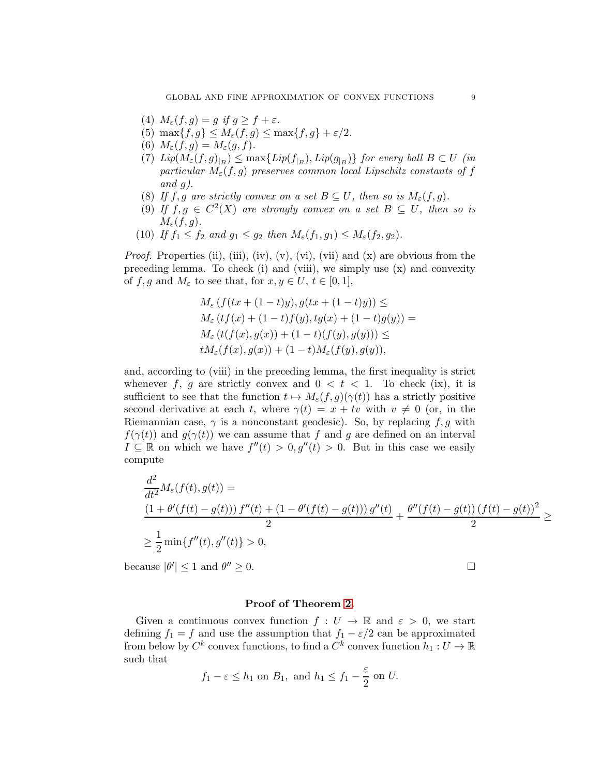- (4)  $M_{\varepsilon}(f,g) = g$  if  $g \ge f + \varepsilon$ .
- (5)  $\max\{f, g\} \leq M_{\varepsilon}(f, g) \leq \max\{f, g\} + \varepsilon/2.$
- (6)  $M_{\varepsilon}(f,g) = M_{\varepsilon}(g,f).$
- (7)  $Lip(M_{\varepsilon}(f,g)_{|_{B}}) \leq \max\{Lip(f_{|_{B}}), Lip(g_{|_{B}})\}\$  for every ball  $B \subset U$  (in particular  $M_{\varepsilon}(f,g)$  preserves common local Lipschitz constants of f and  $q$ ).
- (8) If f, g are strictly convex on a set  $B \subseteq U$ , then so is  $M_{\varepsilon}(f,g)$ .
- (9) If  $f, g \in C^2(X)$  are strongly convex on a set  $B \subseteq U$ , then so is  $M_{\varepsilon}(f,g).$
- (10) If  $f_1 \n\t\leq f_2$  and  $g_1 \leq g_2$  then  $M_{\varepsilon}(f_1, g_1) \leq M_{\varepsilon}(f_2, g_2)$ .

*Proof.* Properties (ii), (iii), (iv), (v), (vi), (vii) and  $(x)$  are obvious from the preceding lemma. To check (i) and (viii), we simply use (x) and convexity of f, g and  $M_{\varepsilon}$  to see that, for  $x, y \in U, t \in [0,1],$ 

$$
M_{\varepsilon} (f(tx + (1-t)y), g(tx + (1-t)y)) \le \nM_{\varepsilon} (tf(x) + (1-t)f(y), tg(x) + (1-t)g(y)) = \nM_{\varepsilon} (t(f(x), g(x)) + (1-t)(f(y), g(y))) \le \ntM_{\varepsilon}(f(x), g(x)) + (1-t)M_{\varepsilon}(f(y), g(y)),
$$

and, according to (viii) in the preceding lemma, the first inequality is strict whenever f, q are strictly convex and  $0 < t < 1$ . To check (ix), it is sufficient to see that the function  $t \mapsto M_{\varepsilon}(f, g)(\gamma(t))$  has a strictly positive second derivative at each t, where  $\gamma(t) = x + tv$  with  $v \neq 0$  (or, in the Riemannian case,  $\gamma$  is a nonconstant geodesic). So, by replacing f, g with  $f(\gamma(t))$  and  $g(\gamma(t))$  we can assume that f and g are defined on an interval  $I \subseteq \mathbb{R}$  on which we have  $f''(t) > 0, g''(t) > 0$ . But in this case we easily compute

$$
\frac{d^2}{dt^2}M_{\varepsilon}(f(t), g(t)) =
$$
\n
$$
\frac{(1 + \theta'(f(t) - g(t))) f''(t) + (1 - \theta'(f(t) - g(t))) g''(t)}{2} + \frac{\theta''(f(t) - g(t)) (f(t) - g(t))^2}{2} \ge
$$
\n
$$
\ge \frac{1}{2} \min\{f''(t), g''(t)\} > 0,
$$

because  $|\theta'| \leq 1$  and  $\theta$  $\prime\prime\prime\geq0.$ 

## Proof of Theorem [2.](#page-2-0)

Given a continuous convex function  $f: U \to \mathbb{R}$  and  $\varepsilon > 0$ , we start defining  $f_1 = f$  and use the assumption that  $f_1 - \varepsilon/2$  can be approximated from below by  $C^k$  convex functions, to find a  $C^k$  convex function  $h_1: U \to \mathbb{R}$ such that

$$
f_1 - \varepsilon \le h_1
$$
 on  $B_1$ , and  $h_1 \le f_1 - \frac{\varepsilon}{2}$  on U.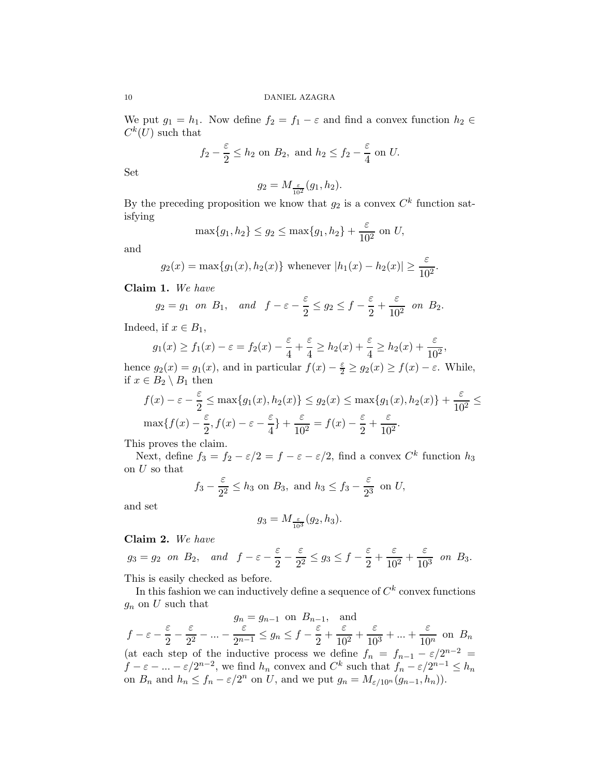We put  $g_1 = h_1$ . Now define  $f_2 = f_1 - \varepsilon$  and find a convex function  $h_2 \in$  $C^k(U)$  such that

$$
f_2 - \frac{\varepsilon}{2} \le h_2
$$
 on  $B_2$ , and  $h_2 \le f_2 - \frac{\varepsilon}{4}$  on U.

Set

$$
g_2 = M_{\frac{\varepsilon}{10^2}}(g_1, h_2).
$$

By the preceding proposition we know that  $g_2$  is a convex  $C^k$  function satisfying

$$
\max\{g_1, h_2\} \le g_2 \le \max\{g_1, h_2\} + \frac{\varepsilon}{10^2}
$$
 on U,

and

$$
g_2(x) = \max\{g_1(x), h_2(x)\}\
$$
 whenever  $|h_1(x) - h_2(x)| \ge \frac{\varepsilon}{10^2}$ .

Claim 1. We have

$$
g_2 = g_1
$$
 on  $B_1$ , and  $f - \varepsilon - \frac{\varepsilon}{2} \le g_2 \le f - \frac{\varepsilon}{2} + \frac{\varepsilon}{10^2}$  on  $B_2$ .

Indeed, if  $x \in B_1$ ,

$$
g_1(x) \ge f_1(x) - \varepsilon = f_2(x) - \frac{\varepsilon}{4} + \frac{\varepsilon}{4} \ge h_2(x) + \frac{\varepsilon}{4} \ge h_2(x) + \frac{\varepsilon}{10^2},
$$

hence  $g_2(x) = g_1(x)$ , and in particular  $f(x) - \frac{\varepsilon}{2} \ge g_2(x) \ge f(x) - \varepsilon$ . While, if  $x \in B_2 \setminus B_1$  then

$$
f(x) - \varepsilon - \frac{\varepsilon}{2} \le \max\{g_1(x), h_2(x)\} \le g_2(x) \le \max\{g_1(x), h_2(x)\} + \frac{\varepsilon}{10^2} \le \max\{f(x) - \frac{\varepsilon}{2}, f(x) - \varepsilon - \frac{\varepsilon}{4}\} + \frac{\varepsilon}{10^2} = f(x) - \frac{\varepsilon}{2} + \frac{\varepsilon}{10^2}.
$$

This proves the claim.

Next, define  $f_3 = f_2 - \varepsilon/2 = f - \varepsilon - \varepsilon/2$ , find a convex  $C^k$  function  $h_3$ on U so that

$$
f_3 - \frac{\varepsilon}{2^2} \le h_3
$$
 on  $B_3$ , and  $h_3 \le f_3 - \frac{\varepsilon}{2^3}$  on U,

and set

$$
g_3 = M_{\frac{\varepsilon}{10^3}}(g_2, h_3).
$$

# Claim 2. We have

 $g_3 = g_2$  on  $B_2$ , and  $f - \varepsilon - \frac{\varepsilon}{2}$  $\frac{\varepsilon}{2} - \frac{\varepsilon}{2^2}$  $\frac{\varepsilon}{2^2} \le g_3 \le f - \frac{\varepsilon}{2}$  $\frac{\varepsilon}{2} + \frac{\varepsilon}{10}$  $\frac{\varepsilon}{10^2} + \frac{\varepsilon}{10}$  $\frac{0}{10^3}$  on  $B_3$ .

This is easily checked as before.

In this fashion we can inductively define a sequence of  $C^k$  convex functions  $g_n$  on U such that

$$
g_n = g_{n-1} \text{ on } B_{n-1}, \text{ and}
$$
  
\n
$$
f - \varepsilon - \frac{\varepsilon}{2} - \frac{\varepsilon}{2^2} - \dots - \frac{\varepsilon}{2^{n-1}} \le g_n \le f - \frac{\varepsilon}{2} + \frac{\varepsilon}{10^2} + \frac{\varepsilon}{10^3} + \dots + \frac{\varepsilon}{10^n} \text{ on } B_n
$$
  
\n(at each step of the inductive process we define  $f_n = f_{n-1} - \varepsilon/2^{n-2} =$   
\n $f - \varepsilon - \dots - \varepsilon/2^{n-2}$ , we find  $h_n$  convex and  $C^k$  such that  $f_n - \varepsilon/2^{n-1} \le h_n$   
\non  $B_n$  and  $h_n \le f_n - \varepsilon/2^n$  on  $U$ , and we put  $g_n = M_{\varepsilon/10^n}(g_{n-1}, h_n)$ ).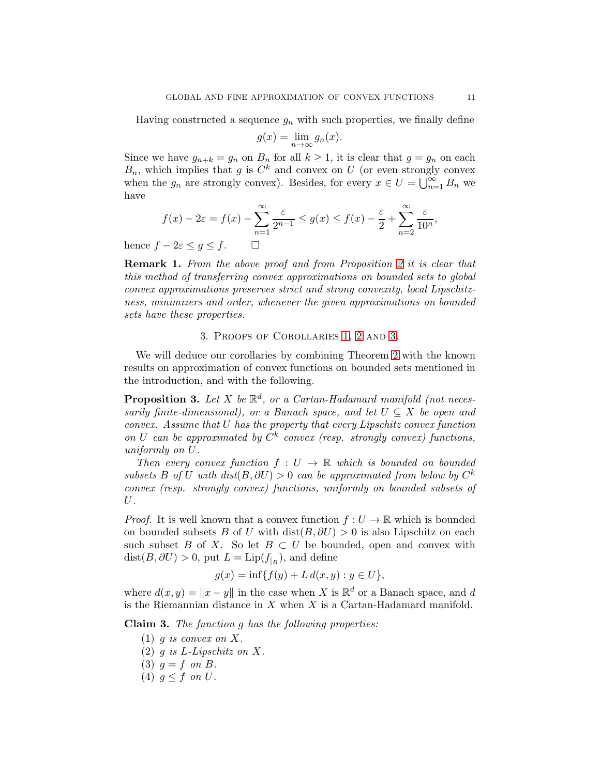Having constructed a sequence  $g_n$  with such properties, we finally define

$$
g(x) = \lim_{n \to \infty} g_n(x).
$$

Since we have  $g_{n+k} = g_n$  on  $B_n$  for all  $k \ge 1$ , it is clear that  $g = g_n$  on each  $B_n$ , which implies that g is  $C^k$  and convex on U (or even strongly convex when the  $g_n$  are strongly convex). Besides, for every  $x \in U = \bigcup_{n=1}^{\infty} B_n$  we have

$$
f(x) - 2\varepsilon = f(x) - \sum_{n=1}^{\infty} \frac{\varepsilon}{2^{n-1}} \le g(x) \le f(x) - \frac{\varepsilon}{2} + \sum_{n=2}^{\infty} \frac{\varepsilon}{10^n},
$$

hence  $f - 2\varepsilon \le g \le f$ .  $\Box$ 

<span id="page-10-1"></span>Remark 1. From the above proof and from Proposition [2](#page-7-0) it is clear that this method of transferring convex approximations on bounded sets to global convex approximations preserves strict and strong convexity, local Lipschitzness, minimizers and order, whenever the given approximations on bounded sets have these properties.

# 3. Proofs of Corollaries [1,](#page-3-0) [2](#page-3-1) and [3.](#page-3-2)

We will deduce our corollaries by combining Theorem [2](#page-2-0) with the known results on approximation of convex functions on bounded sets mentioned in the introduction, and with the following.

<span id="page-10-0"></span>**Proposition 3.** Let X be  $\mathbb{R}^d$ , or a Cartan-Hadamard manifold (not necessarily finite-dimensional), or a Banach space, and let  $U \subseteq X$  be open and convex. Assume that U has the property that every Lipschitz convex function on U can be approximated by  $C^k$  convex (resp. strongly convex) functions, uniformly on U.

Then every convex function  $f: U \to \mathbb{R}$  which is bounded on bounded subsets B of U with  $dist(B, \partial U) > 0$  can be approximated from below by  $C^k$ convex (resp. strongly convex) functions, uniformly on bounded subsets of U.

*Proof.* It is well known that a convex function  $f: U \to \mathbb{R}$  which is bounded on bounded subsets B of U with dist( $B, \partial U$ ) > 0 is also Lipschitz on each such subset B of X. So let  $B \subset U$  be bounded, open and convex with  $dist(B, \partial U) > 0$ , put  $L = Lip(f_{|B})$ , and define

$$
g(x) = \inf\{f(y) + L\,d(x, y) : y \in U\},\
$$

where  $d(x, y) = ||x - y||$  in the case when X is  $\mathbb{R}^d$  or a Banach space, and d is the Riemannian distance in  $X$  when  $X$  is a Cartan-Hadamard manifold.

Claim 3. The function g has the following properties:

- $(1)$  g is convex on X.
- (2)  $q$  is L-Lipschitz on X.
- (3)  $g = f$  on B.
- (4)  $q \leq f$  on U.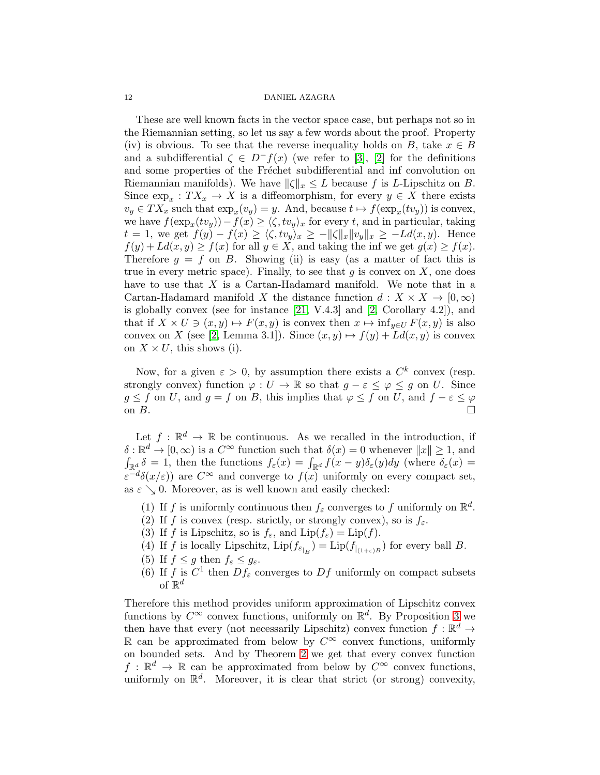These are well known facts in the vector space case, but perhaps not so in the Riemannian setting, so let us say a few words about the proof. Property (iv) is obvious. To see that the reverse inequality holds on B, take  $x \in B$ and a subdifferential  $\zeta \in D^-f(x)$  (we refer to [\[3\]](#page-28-11), [\[2\]](#page-28-12) for the definitions and some properties of the Fréchet subdifferential and inf convolution on Riemannian manifolds). We have  $\|\zeta\|_x \leq L$  because f is L-Lipschitz on B. Since  $\exp_x: TX_x \to X$  is a diffeomorphism, for every  $y \in X$  there exists  $v_y \in TX_x$  such that  $\exp_x(v_y) = y$ . And, because  $t \mapsto f(\exp_x(tv_y))$  is convex, we have  $f(\exp_x(tv_y)) - f(x) \ge \langle \zeta, tv_y \rangle_x$  for every t, and in particular, taking  $t = 1$ , we get  $f(y) - f(x) \ge \langle \zeta, tv_y \rangle_x \ge -\|\zeta\|_x \|v_y\|_x \ge -Ld(x, y)$ . Hence  $f(y) + Ld(x, y) \ge f(x)$  for all  $y \in X$ , and taking the inf we get  $g(x) \ge f(x)$ . Therefore  $g = f$  on B. Showing (ii) is easy (as a matter of fact this is true in every metric space). Finally, to see that  $g$  is convex on  $X$ , one does have to use that X is a Cartan-Hadamard manifold. We note that in a Cartan-Hadamard manifold X the distance function  $d: X \times X \to [0,\infty)$ is globally convex (see for instance [\[21,](#page-29-1) V.4.3] and [\[2,](#page-28-12) Corollary 4.2]), and that if  $X \times U \ni (x, y) \mapsto F(x, y)$  is convex then  $x \mapsto \inf_{y \in U} F(x, y)$  is also convex on X (see [\[2,](#page-28-12) Lemma 3.1]). Since  $(x, y) \mapsto f(y) + Ld(x, y)$  is convex on  $X \times U$ , this shows (i).

Now, for a given  $\varepsilon > 0$ , by assumption there exists a  $C^k$  convex (resp. strongly convex) function  $\varphi: U \to \mathbb{R}$  so that  $g - \varepsilon \leq \varphi \leq g$  on U. Since  $g \leq f$  on U, and  $g = f$  on B, this implies that  $\varphi \leq f$  on U, and  $f - \varepsilon \leq \varphi$ on  $B$ .

Let  $f: \mathbb{R}^d \to \mathbb{R}$  be continuous. As we recalled in the introduction, if  $\delta : \mathbb{R}^d \to [0, \infty)$  is a  $C^{\infty}$  function such that  $\delta(x) = 0$  whenever  $||x|| \geq 1$ , and  $\int_{\mathbb{R}^d} \delta = 1$ , then the functions  $f_{\varepsilon}(x) = \int_{\mathbb{R}^d} f(x - y) \delta_{\varepsilon}(y) dy$  (where  $\delta_{\varepsilon}(x) =$  $\varepsilon^{-d}\delta(x/\varepsilon)$  are  $C^{\infty}$  and converge to  $f(x)$  uniformly on every compact set, as  $\varepsilon \searrow 0$ . Moreover, as is well known and easily checked:

- (1) If f is uniformly continuous then  $f_{\varepsilon}$  converges to f uniformly on  $\mathbb{R}^d$ .
- (2) If f is convex (resp. strictly, or strongly convex), so is  $f_{\varepsilon}$ .
- (3) If f is Lipschitz, so is  $f_{\varepsilon}$ , and  $\text{Lip}(f_{\varepsilon}) = \text{Lip}(f)$ .
- (4) If f is locally Lipschitz,  $\text{Lip}(f_{\varepsilon_{|B}}) = \text{Lip}(f_{|_{(1+\varepsilon)B}})$  for every ball B.
- (5) If  $f \leq g$  then  $f_{\varepsilon} \leq g_{\varepsilon}$ .
- (6) If f is  $C^1$  then  $Df_\varepsilon$  converges to  $Df$  uniformly on compact subsets of  $\mathbb{R}^d$

Therefore this method provides uniform approximation of Lipschitz convex functions by  $C^{\infty}$  convex functions, uniformly on  $\mathbb{R}^d$ . By Proposition [3](#page-10-0) we then have that every (not necessarily Lipschitz) convex function  $f: \mathbb{R}^d \to$ R can be approximated from below by  $C^∞$  convex functions, uniformly on bounded sets. And by Theorem [2](#page-2-0) we get that every convex function  $f: \mathbb{R}^d \to \mathbb{R}$  can be approximated from below by  $C^{\infty}$  convex functions, uniformly on  $\mathbb{R}^d$ . Moreover, it is clear that strict (or strong) convexity,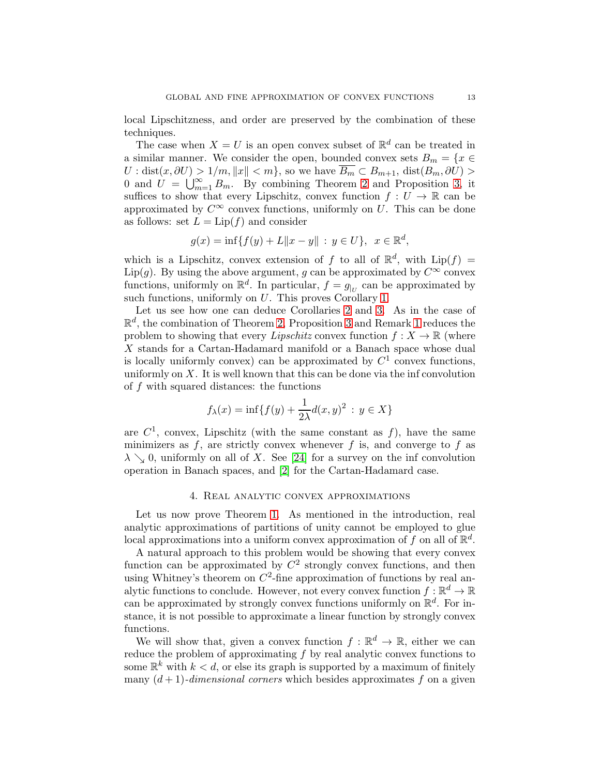local Lipschitzness, and order are preserved by the combination of these techniques.

The case when  $X = U$  is an open convex subset of  $\mathbb{R}^d$  can be treated in a similar manner. We consider the open, bounded convex sets  $B_m = \{x \in$  $U : dist(x, \partial U) > 1/m, ||x|| < m$ , so we have  $\overline{B_m} \subset B_{m+1}$ , dist $(B_m, \partial U) >$ 0 and  $U = \bigcup_{m=1}^{\infty} B_m$ . By combining Theorem [2](#page-2-0) and Proposition [3,](#page-10-0) it suffices to show that every Lipschitz, convex function  $f: U \to \mathbb{R}$  can be approximated by  $C^{\infty}$  convex functions, uniformly on U. This can be done as follows: set  $L = Lip(f)$  and consider

$$
g(x) = \inf\{f(y) + L\|x - y\| : y \in U\}, x \in \mathbb{R}^d,
$$

which is a Lipschitz, convex extension of f to all of  $\mathbb{R}^d$ , with  $\text{Lip}(f) =$ Lip(g). By using the above argument, g can be approximated by  $C^{\infty}$  convex functions, uniformly on  $\mathbb{R}^d$ . In particular,  $f = g_{|U|}$  can be approximated by such functions, uniformly on U. This proves Corollary [1.](#page-3-0)

Let us see how one can deduce Corollaries [2](#page-3-1) and [3.](#page-3-2) As in the case of  $\mathbb{R}^d$ , the combination of Theorem [2,](#page-2-0) Proposition [3](#page-10-0) and Remark [1](#page-10-1) reduces the problem to showing that every Lipschitz convex function  $f: X \to \mathbb{R}$  (where X stands for a Cartan-Hadamard manifold or a Banach space whose dual is locally uniformly convex) can be approximated by  $C<sup>1</sup>$  convex functions, uniformly on X. It is well known that this can be done via the inf convolution of f with squared distances: the functions

$$
f_{\lambda}(x) = \inf\{f(y) + \frac{1}{2\lambda}d(x,y)^2 : y \in X\}
$$

are  $C^1$ , convex, Lipschitz (with the same constant as f), have the same minimizers as  $f$ , are strictly convex whenever  $f$  is, and converge to  $f$  as  $\lambda \searrow 0$ , uniformly on all of X. See [\[24\]](#page-29-2) for a survey on the inf convolution operation in Banach spaces, and [\[2\]](#page-28-12) for the Cartan-Hadamard case.

## 4. Real analytic convex approximations

Let us now prove Theorem [1.](#page-2-1) As mentioned in the introduction, real analytic approximations of partitions of unity cannot be employed to glue local approximations into a uniform convex approximation of f on all of  $\mathbb{R}^d$ .

A natural approach to this problem would be showing that every convex function can be approximated by  $C^2$  strongly convex functions, and then using Whitney's theorem on  $C^2$ -fine approximation of functions by real analytic functions to conclude. However, not every convex function  $f : \mathbb{R}^d \to \mathbb{R}$ can be approximated by strongly convex functions uniformly on  $\mathbb{R}^d$ . For instance, it is not possible to approximate a linear function by strongly convex functions.

We will show that, given a convex function  $f : \mathbb{R}^d \to \mathbb{R}$ , either we can reduce the problem of approximating  $f$  by real analytic convex functions to some  $\mathbb{R}^k$  with  $k < d$ , or else its graph is supported by a maximum of finitely many  $(d+1)$ -dimensional corners which besides approximates f on a given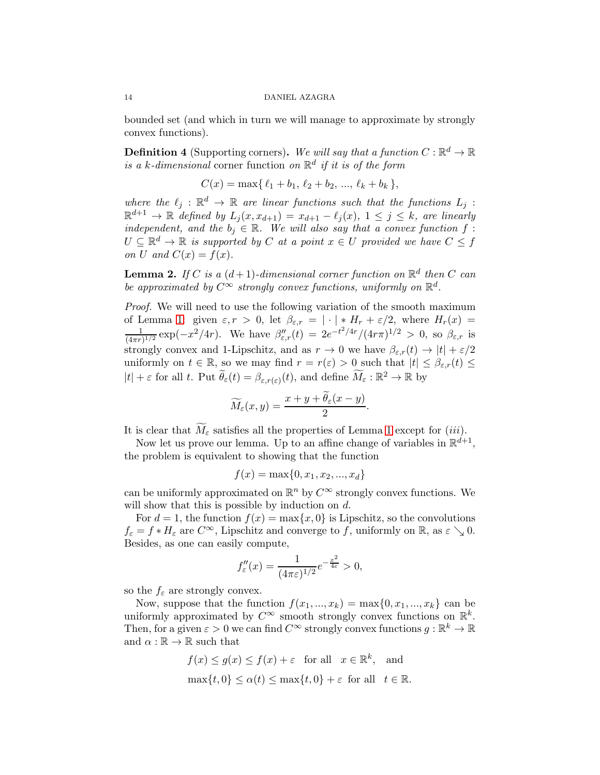bounded set (and which in turn we will manage to approximate by strongly convex functions).

**Definition 4** (Supporting corners). We will say that a function  $C : \mathbb{R}^d \to \mathbb{R}$ is a k-dimensional corner function on  $\mathbb{R}^d$  if it is of the form

$$
C(x) = \max\{\ell_1 + b_1, \ell_2 + b_2, ..., \ell_k + b_k\},\
$$

where the  $\ell_j : \mathbb{R}^d \to \mathbb{R}$  are linear functions such that the functions  $L_j$ :  $\mathbb{R}^{d+1} \to \mathbb{R}$  defined by  $L_j(x, x_{d+1}) = x_{d+1} - \ell_j(x), 1 \leq j \leq k$ , are linearly independent, and the  $b_i \in \mathbb{R}$ . We will also say that a convex function f:  $U \subseteq \mathbb{R}^d \to \mathbb{R}$  is supported by C at a point  $x \in U$  provided we have  $C \leq f$ on U and  $C(x) = f(x)$ .

<span id="page-13-0"></span>**Lemma 2.** If C is a  $(d+1)$ -dimensional corner function on  $\mathbb{R}^d$  then C can be approximated by  $C^{\infty}$  strongly convex functions, uniformly on  $\mathbb{R}^d$ .

Proof. We will need to use the following variation of the smooth maximum of Lemma [1:](#page-6-0) given  $\varepsilon, r > 0$ , let  $\beta_{\varepsilon,r} = |\cdot| * H_r + \varepsilon/2$ , where  $H_r(x) =$ 1  $\frac{1}{(4\pi r)^{1/2}} \exp(-x^2/4r)$ . We have  $\beta''_{\varepsilon,r}(t) = 2e^{-t^2/4r}/(4r\pi)^{1/2} > 0$ , so  $\beta_{\varepsilon,r}$  is strongly convex and 1-Lipschitz, and as  $r \to 0$  we have  $\beta_{\varepsilon,r}(t) \to |t| + \varepsilon/2$ uniformly on  $t \in \mathbb{R}$ , so we may find  $r = r(\varepsilon) > 0$  such that  $|t| \leq \beta_{\varepsilon,r}(t) \leq$  $|t| + \varepsilon$  for all t. Put  $\widetilde{\theta}_{\varepsilon}(t) = \beta_{\varepsilon,r(\varepsilon)}(t)$ , and define  $\widetilde{M}_{\varepsilon}: \mathbb{R}^2 \to \mathbb{R}$  by

$$
\widetilde{M}_{\varepsilon}(x,y) = \frac{x+y+\widetilde{\theta}_{\varepsilon}(x-y)}{2}.
$$

It is clear that  $M_{\varepsilon}$  satisfies all the properties of Lemma [1](#page-6-0) except for (iii).

Now let us prove our lemma. Up to an affine change of variables in  $\mathbb{R}^{d+1}$ , the problem is equivalent to showing that the function

$$
f(x) = \max\{0, x_1, x_2, ..., x_d\}
$$

can be uniformly approximated on  $\mathbb{R}^n$  by  $C^{\infty}$  strongly convex functions. We will show that this is possible by induction on d.

For  $d = 1$ , the function  $f(x) = \max\{x, 0\}$  is Lipschitz, so the convolutions  $f_{\varepsilon} = f * H_{\varepsilon}$  are  $C^{\infty}$ , Lipschitz and converge to f, uniformly on  $\mathbb{R}$ , as  $\varepsilon \searrow 0$ . Besides, as one can easily compute,

$$
f''_{\varepsilon}(x) = \frac{1}{(4\pi\varepsilon)^{1/2}} e^{-\frac{x^2}{4\varepsilon}} > 0,
$$

so the  $f_{\varepsilon}$  are strongly convex.

Now, suppose that the function  $f(x_1, ..., x_k) = \max\{0, x_1, ..., x_k\}$  can be uniformly approximated by  $C^{\infty}$  smooth strongly convex functions on  $\mathbb{R}^{k}$ . Then, for a given  $\varepsilon > 0$  we can find  $C^{\infty}$  strongly convex functions  $g : \mathbb{R}^k \to \mathbb{R}$ and  $\alpha : \mathbb{R} \to \mathbb{R}$  such that

$$
f(x) \le g(x) \le f(x) + \varepsilon \quad \text{for all} \quad x \in \mathbb{R}^k, \quad \text{and}
$$

$$
\max\{t, 0\} \le \alpha(t) \le \max\{t, 0\} + \varepsilon \quad \text{for all} \quad t \in \mathbb{R}.
$$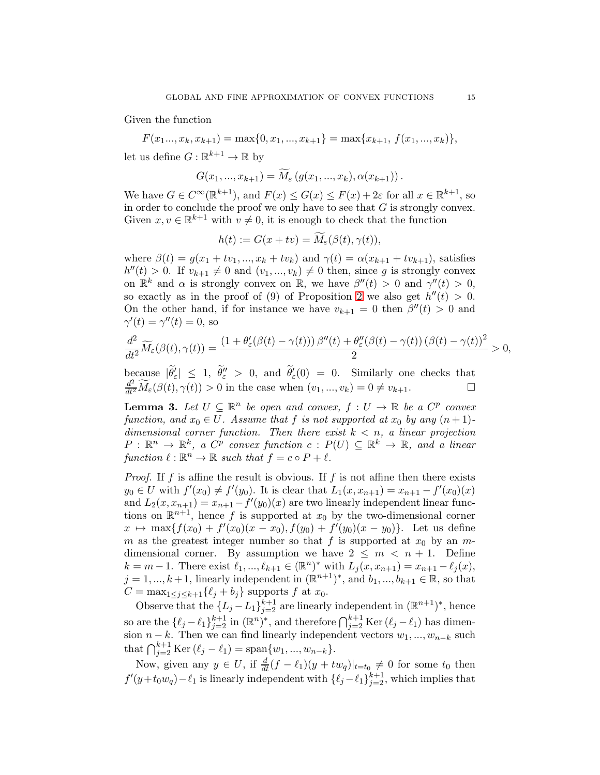Given the function

 $F(x_1..., x_k, x_{k+1}) = \max\{0, x_1, ..., x_{k+1}\} = \max\{x_{k+1}, f(x_1, ..., x_k)\},\$ 

let us define  $G: \mathbb{R}^{k+1} \to \mathbb{R}$  by

$$
G(x_1, ..., x_{k+1}) = M_{\varepsilon} (g(x_1, ..., x_k), \alpha(x_{k+1})).
$$

We have  $G \in C^{\infty}(\mathbb{R}^{k+1})$ , and  $F(x) \leq G(x) \leq F(x) + 2\varepsilon$  for all  $x \in \mathbb{R}^{k+1}$ , so in order to conclude the proof we only have to see that  $G$  is strongly convex. Given  $x, v \in \mathbb{R}^{k+1}$  with  $v \neq 0$ , it is enough to check that the function

$$
h(t) := G(x + tv) = \overline{M}_{\varepsilon}(\beta(t), \gamma(t)),
$$

where  $\beta(t) = g(x_1 + tv_1, ..., x_k + tv_k)$  and  $\gamma(t) = \alpha(x_{k+1} + tv_{k+1})$ , satisfies  $h''(t) > 0$ . If  $v_{k+1} \neq 0$  and  $(v_1, ..., v_k) \neq 0$  then, since g is strongly convex on  $\mathbb{R}^k$  and  $\alpha$  is strongly convex on  $\mathbb{R}$ , we have  $\beta''(t) > 0$  and  $\gamma''(t) > 0$ , so exactly as in the proof of (9) of Proposition [2](#page-7-0) we also get  $h''(t) > 0$ . On the other hand, if for instance we have  $v_{k+1} = 0$  then  $\beta''(t) > 0$  and  $\gamma'(t) = \gamma''(t) = 0$ , so

$$
\frac{d^2}{dt^2}\widetilde{M}_{\varepsilon}(\beta(t),\gamma(t))=\frac{\left(1+\theta_{\varepsilon}'(\beta(t)-\gamma(t))\right)\beta''(t)+\theta_{\varepsilon}''(\beta(t)-\gamma(t))\left(\beta(t)-\gamma(t)\right)^2}{2}>0,
$$

because  $|\tilde{\theta}'_{\varepsilon}| \leq 1$ ,  $\tilde{\theta}''_{\varepsilon} > 0$ , and  $\tilde{\theta}'_{\varepsilon}(0) = 0$ . Similarly one checks that  $\frac{d^2}{dt^2}\widetilde{M}_{\varepsilon}(\beta(t),\gamma(t))>0$  in the case when  $(v_1,...,v_k)=0\neq v_{k+1}$ .

<span id="page-14-0"></span>**Lemma 3.** Let  $U \subseteq \mathbb{R}^n$  be open and convex,  $f : U \to \mathbb{R}$  be a  $C^p$  convex function, and  $x_0 \in U$ . Assume that f is not supported at  $x_0$  by any  $(n+1)$ dimensional corner function. Then there exist  $k < n$ , a linear projection  $P: \mathbb{R}^n \to \mathbb{R}^k$ , a  $C^p$  convex function  $c: P(U) \subseteq \mathbb{R}^k \to \mathbb{R}$ , and a linear function  $\ell : \mathbb{R}^n \to \mathbb{R}$  such that  $f = c \circ P + \ell$ .

*Proof.* If f is affine the result is obvious. If f is not affine then there exists  $y_0 \in U$  with  $f'(x_0) \neq f'(y_0)$ . It is clear that  $L_1(x, x_{n+1}) = x_{n+1} - f'(x_0)(x)$ and  $L_2(x, x_{n+1}) = x_{n+1} - f'(y_0)(x)$  are two linearly independent linear functions on  $\mathbb{R}^{n+1}$ , hence f is supported at  $x_0$  by the two-dimensional corner  $x \mapsto \max\{f(x_0) + f'(x_0)(x - x_0), f(y_0) + f'(y_0)(x - y_0)\}.$  Let us define m as the greatest integer number so that f is supported at  $x_0$  by an mdimensional corner. By assumption we have  $2 \leq m \leq n + 1$ . Define  $k = m - 1$ . There exist  $\ell_1, ..., \ell_{k+1} \in (\mathbb{R}^n)^*$  with  $L_j(x, x_{n+1}) = x_{n+1} - \ell_j(x)$ ,  $j = 1, ..., k+1$ , linearly independent in  $(\mathbb{R}^{n+1})^*$ , and  $b_1, ..., b_{k+1} \in \mathbb{R}$ , so that  $C = \max_{1 \leq j \leq k+1} {\{\ell_j + b_j\}}$  supports f at  $x_0$ .

Observe that the  $\{L_j - L_1\}_{j=2}^{k+1}$  are linearly independent in  $(\mathbb{R}^{n+1})^*$ , hence so are the  $\{\ell_j - \ell_1\}_{j=2}^{k+1}$  in  $(\mathbb{R}^n)^*$ , and therefore  $\bigcap_{j=2}^{k+1}$  Ker  $(\ell_j - \ell_1)$  has dimension  $n - k$ . Then we can find linearly independent vectors  $w_1, ..., w_{n-k}$  such that  $\bigcap_{j=2}^{k+1}$  Ker  $(\ell_j - \ell_1) = \text{span}\{w_1, ..., w_{n-k}\}.$ 

Now, given any  $y \in U$ , if  $\frac{d}{dt}(f - \ell_1)(y + tw_q)|_{t=t_0} \neq 0$  for some  $t_0$  then  $f'(y+t_0w_q)-\ell_1$  is linearly independent with  $\{\ell_j-\ell_1\}_{j=2}^{k+1}$ , which implies that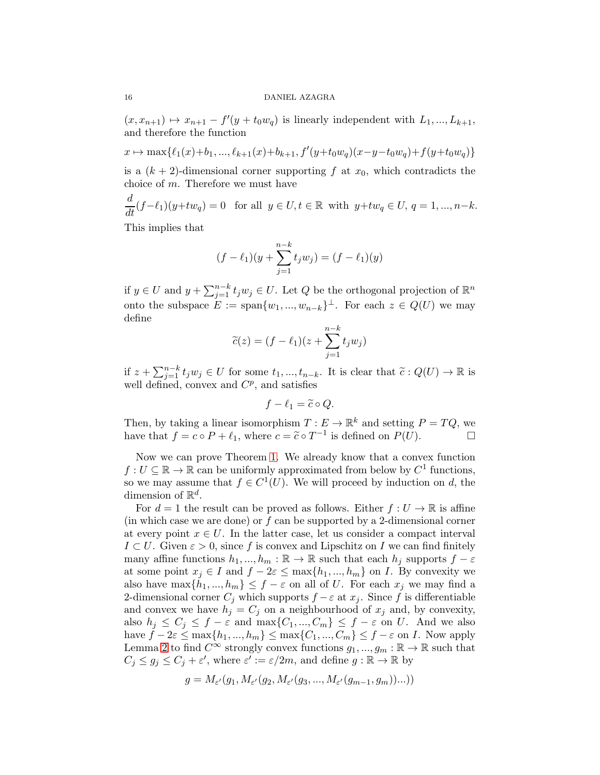$(x, x_{n+1}) \mapsto x_{n+1} - f'(y + t_0w_q)$  is linearly independent with  $L_1, ..., L_{k+1}$ , and therefore the function

$$
x \mapsto \max\{\ell_1(x)+b_1, ..., \ell_{k+1}(x)+b_{k+1}, f'(y+t_0w_q)(x-y-t_0w_q)+f(y+t_0w_q)\}\
$$

is a  $(k + 2)$ -dimensional corner supporting f at  $x_0$ , which contradicts the choice of  $m$ . Therefore we must have

$$
\frac{d}{dt}(f-\ell_1)(y+tw_q) = 0 \quad \text{for all } y \in U, t \in \mathbb{R} \text{ with } y+tw_q \in U, q = 1, ..., n-k.
$$

This implies that

$$
(f - \ell_1)(y + \sum_{j=1}^{n-k} t_j w_j) = (f - \ell_1)(y)
$$

if  $y \in U$  and  $y + \sum_{j=1}^{n-k} t_j w_j \in U$ . Let  $Q$  be the orthogonal projection of  $\mathbb{R}^n$ onto the subspace  $E := \text{span}\{w_1, ..., w_{n-k}\}^{\perp}$ . For each  $z \in Q(U)$  we may define

$$
\widetilde{c}(z) = (f - \ell_1)(z + \sum_{j=1}^{n-k} t_j w_j)
$$

if  $z + \sum_{j=1}^{n-k} t_j w_j \in U$  for some  $t_1, ..., t_{n-k}$ . It is clear that  $\tilde{c}: Q(U) \to \mathbb{R}$  is well defined, convex and  $C^p$ , and satisfies

$$
f - \ell_1 = \widetilde{c} \circ Q.
$$

Then, by taking a linear isomorphism  $T: E \to \mathbb{R}^k$  and setting  $P = TQ$ , we have that  $f = c \circ P + \ell_1$ , where  $c = \tilde{c} \circ T^{-1}$  is defined on  $P(\bar{U})$ .

Now we can prove Theorem [1.](#page-2-1) We already know that a convex function  $f: U \subseteq \mathbb{R} \to \mathbb{R}$  can be uniformly approximated from below by  $C^1$  functions, so we may assume that  $f \in C^1(U)$ . We will proceed by induction on d, the dimension of  $\mathbb{R}^d$ .

For  $d = 1$  the result can be proved as follows. Either  $f: U \to \mathbb{R}$  is affine (in which case we are done) or  $f$  can be supported by a 2-dimensional corner at every point  $x \in U$ . In the latter case, let us consider a compact interval  $I \subset U$ . Given  $\varepsilon > 0$ , since f is convex and Lipschitz on I we can find finitely many affine functions  $h_1, ..., h_m : \mathbb{R} \to \mathbb{R}$  such that each  $h_j$  supports  $f - \varepsilon$ at some point  $x_j \in I$  and  $f - 2\varepsilon \leq \max\{h_1, ..., h_m\}$  on *I*. By convexity we also have  $\max\{h_1, ..., h_m\} \leq f - \varepsilon$  on all of U. For each  $x_j$  we may find a 2-dimensional corner  $C_i$  which supports  $f - \varepsilon$  at  $x_i$ . Since f is differentiable and convex we have  $h_j = C_j$  on a neighbourhood of  $x_j$  and, by convexity, also  $h_j \leq C_j \leq f - \varepsilon$  and  $\max\{C_1, ..., C_m\} \leq f - \varepsilon$  on U. And we also have  $f - 2\varepsilon \le \max\{h_1, ..., h_m\} \le \max\{C_1, ..., C_m\} \le f - \varepsilon$  on *I*. Now apply Lemma [2](#page-13-0) to find  $C^{\infty}$  strongly convex functions  $g_1, ..., g_m : \mathbb{R} \to \mathbb{R}$  such that  $C_j \le g_j \le C_j + \varepsilon'$ , where  $\varepsilon' := \varepsilon/2m$ , and define  $g : \mathbb{R} \to \mathbb{R}$  by

$$
g = M_{\varepsilon'}(g_1, M_{\varepsilon'}(g_2, M_{\varepsilon'}(g_3, ..., M_{\varepsilon'}(g_{m-1}, g_m))...))
$$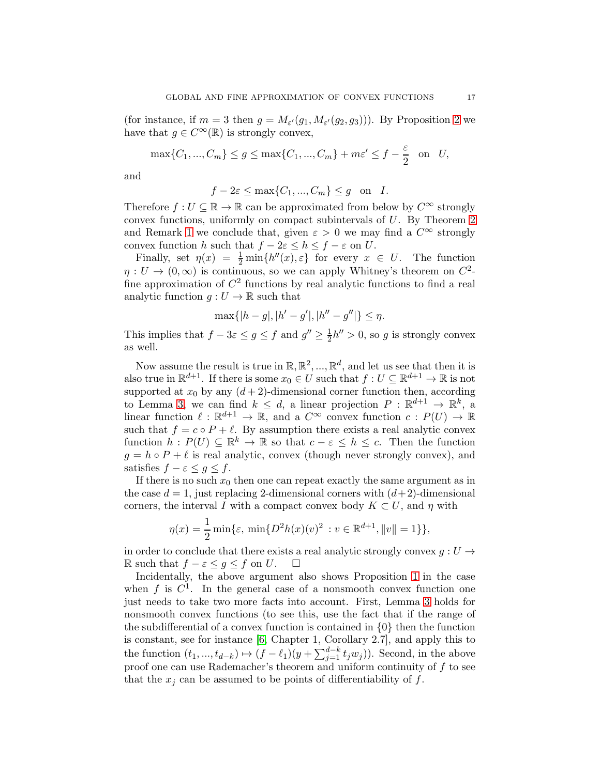(for instance, if  $m = 3$  then  $g = M_{\varepsilon'}(g_1, M_{\varepsilon'}(g_2, g_3))$ ). By Proposition [2](#page-7-0) we have that  $g \in C^{\infty}(\mathbb{R})$  is strongly convex,

$$
\max\{C_1, ..., C_m\} \le g \le \max\{C_1, ..., C_m\} + m\varepsilon' \le f - \frac{\varepsilon}{2} \quad \text{on} \quad U,
$$

and

$$
f - 2\varepsilon \le \max\{C_1, ..., C_m\} \le g \quad \text{on} \quad I.
$$

Therefore  $f: U \subseteq \mathbb{R} \to \mathbb{R}$  can be approximated from below by  $C^{\infty}$  strongly convex functions, uniformly on compact subintervals of U. By Theorem [2](#page-2-0) and Remark [1](#page-10-1) we conclude that, given  $\varepsilon > 0$  we may find a  $C^{\infty}$  strongly convex function h such that  $f - 2\varepsilon \le h \le f - \varepsilon$  on U.

Finally, set  $\eta(x) = \frac{1}{2} \min\{h''(x), \varepsilon\}$  for every  $x \in U$ . The function  $\eta: U \to (0,\infty)$  is continuous, so we can apply Whitney's theorem on  $C^2$ fine approximation of  $C^2$  functions by real analytic functions to find a real analytic function  $q: U \to \mathbb{R}$  such that

$$
\max\{|h-g|, |h'-g'|, |h''-g''|\} \le \eta.
$$

This implies that  $f - 3\varepsilon \le g \le f$  and  $g'' \ge \frac{1}{2}$  $\frac{1}{2}h'' > 0$ , so g is strongly convex as well.

Now assume the result is true in  $\mathbb{R}, \mathbb{R}^2, ..., \mathbb{R}^d$ , and let us see that then it is also true in  $\mathbb{R}^{d+1}$ . If there is some  $x_0 \in U$  such that  $f: U \subseteq \mathbb{R}^{d+1} \to \mathbb{R}$  is not supported at  $x_0$  by any  $(d+2)$ -dimensional corner function then, according to Lemma [3,](#page-14-0) we can find  $k \leq d$ , a linear projection  $P : \mathbb{R}^{d+1} \to \mathbb{R}^k$ , a linear function  $\ell : \mathbb{R}^{d+1} \to \mathbb{R}$ , and a  $C^{\infty}$  convex function  $c : P(U) \to \mathbb{R}$ such that  $f = c \circ P + \ell$ . By assumption there exists a real analytic convex function  $h: P(U) \subseteq \mathbb{R}^k \to \mathbb{R}$  so that  $c - \varepsilon \leq h \leq c$ . Then the function  $g = h \circ P + \ell$  is real analytic, convex (though never strongly convex), and satisfies  $f - \varepsilon \leq g \leq f$ .

If there is no such  $x_0$  then one can repeat exactly the same argument as in the case  $d = 1$ , just replacing 2-dimensional corners with  $(d+2)$ -dimensional corners, the interval I with a compact convex body  $K \subset U$ , and  $\eta$  with

$$
\eta(x) = \frac{1}{2} \min \{ \varepsilon, \, \min \{ D^2 h(x)(v)^2 \, : v \in \mathbb{R}^{d+1}, ||v|| = 1 \} \},
$$

in order to conclude that there exists a real analytic strongly convex  $g: U \rightarrow$ R such that  $f - \varepsilon \leq g \leq f$  on  $U$ .  $\Box$ 

Incidentally, the above argument also shows Proposition [1](#page-3-3) in the case when f is  $C^1$ . In the general case of a nonsmooth convex function one just needs to take two more facts into account. First, Lemma [3](#page-14-0) holds for nonsmooth convex functions (to see this, use the fact that if the range of the subdifferential of a convex function is contained in  $\{0\}$  then the function is constant, see for instance [\[6,](#page-28-13) Chapter 1, Corollary 2.7], and apply this to the function  $(t_1, ..., t_{d-k}) \mapsto (f - \ell_1)(y + \sum_{j=1}^{d-k} t_j w_j)$ . Second, in the above proof one can use Rademacher's theorem and uniform continuity of  $f$  to see that the  $x_i$  can be assumed to be points of differentiability of f.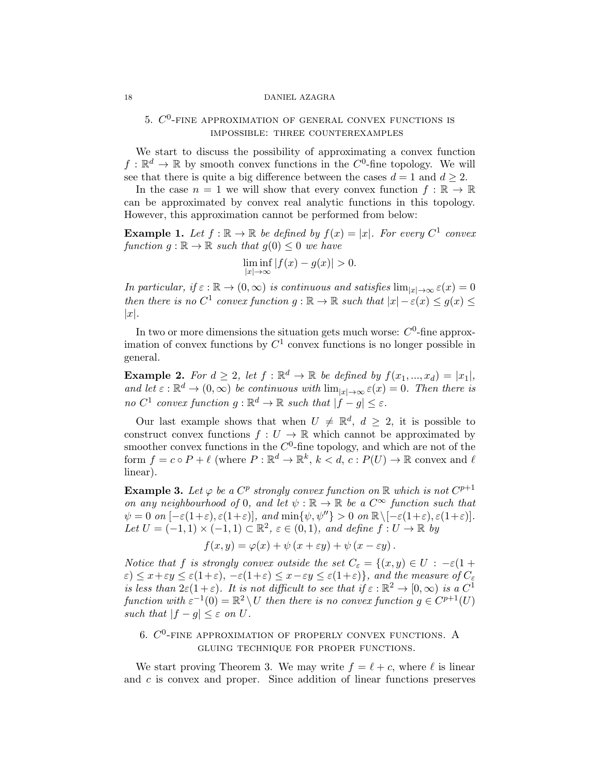# 5.  $C^0$ -fine approximation of general convex functions is impossible: three counterexamples

We start to discuss the possibility of approximating a convex function  $f: \mathbb{R}^d \to \mathbb{R}$  by smooth convex functions in the  $C^0$ -fine topology. We will see that there is quite a big difference between the cases  $d = 1$  and  $d \geq 2$ .

In the case  $n = 1$  we will show that every convex function  $f : \mathbb{R} \to \mathbb{R}$ can be approximated by convex real analytic functions in this topology. However, this approximation cannot be performed from below:

**Example 1.** Let  $f : \mathbb{R} \to \mathbb{R}$  be defined by  $f(x) = |x|$ . For every  $C^1$  convex function  $g : \mathbb{R} \to \mathbb{R}$  such that  $g(0) \leq 0$  we have

$$
\liminf_{|x| \to \infty} |f(x) - g(x)| > 0.
$$

In particular, if  $\varepsilon : \mathbb{R} \to (0,\infty)$  is continuous and satisfies  $\lim_{|x| \to \infty} \varepsilon(x) = 0$ then there is no  $C^1$  convex function  $g : \mathbb{R} \to \mathbb{R}$  such that  $|x| - \varepsilon(x) \leq g(x) \leq$  $|x|$ .

In two or more dimensions the situation gets much worse:  $C^0$ -fine approximation of convex functions by  $C^1$  convex functions is no longer possible in general.

**Example 2.** For  $d \geq 2$ , let  $f : \mathbb{R}^d \to \mathbb{R}$  be defined by  $f(x_1, ..., x_d) = |x_1|$ , and let  $\varepsilon : \mathbb{R}^d \to (0, \infty)$  be continuous with  $\lim_{|x| \to \infty} \varepsilon(x) = 0$ . Then there is no  $C^1$  convex function  $g: \mathbb{R}^d \to \mathbb{R}$  such that  $|f - g| \leq \varepsilon$ .

Our last example shows that when  $U \neq \mathbb{R}^d$ ,  $d \geq 2$ , it is possible to construct convex functions  $f: U \to \mathbb{R}$  which cannot be approximated by smoother convex functions in the  $C^0$ -fine topology, and which are not of the form  $f = c \circ P + \ell$  (where  $P : \mathbb{R}^d \to \mathbb{R}^k$ ,  $k < d$ ,  $c : P(U) \to \mathbb{R}$  convex and  $\ell$ linear).

<span id="page-17-0"></span>**Example 3.** Let  $\varphi$  be a  $C^p$  strongly convex function on  $\mathbb{R}$  which is not  $C^{p+1}$ on any neighbourhood of 0, and let  $\psi : \mathbb{R} \to \mathbb{R}$  be a  $C^{\infty}$  function such that  $\psi = 0$  on  $[-\varepsilon(1+\varepsilon), \varepsilon(1+\varepsilon)],$  and  $\min{\psi, \psi''} > 0$  on  $\mathbb{R} \setminus [-\varepsilon(1+\varepsilon), \varepsilon(1+\varepsilon)].$ Let  $U = (-1,1) \times (-1,1) \subset \mathbb{R}^2$ ,  $\varepsilon \in (0,1)$ , and define  $f: U \to \mathbb{R}$  by

$$
f(x,y) = \varphi(x) + \psi(x + \varepsilon y) + \psi(x - \varepsilon y).
$$

Notice that f is strongly convex outside the set  $C_{\varepsilon} = \{(x, y) \in U : -\varepsilon(1 +$  $\varepsilon$ )  $\leq$   $x+\varepsilon y \leq \varepsilon(1+\varepsilon), -\varepsilon(1+\varepsilon) \leq x-\varepsilon y \leq \varepsilon(1+\varepsilon)$ , and the measure of  $C_{\varepsilon}$ is less than  $2\varepsilon(1+\varepsilon)$ . It is not difficult to see that if  $\varepsilon : \mathbb{R}^2 \to [0,\infty)$  is a  $C^1$ function with  $\varepsilon^{-1}(0) = \mathbb{R}^2 \setminus U$  then there is no convex function  $g \in C^{p+1}(U)$ such that  $|f - g| \leq \varepsilon$  on U.

# 6.  $C^0$ -fine approximation of properly convex functions. A gluing technique for proper functions.

We start proving Theorem 3. We may write  $f = \ell + c$ , where  $\ell$  is linear and c is convex and proper. Since addition of linear functions preserves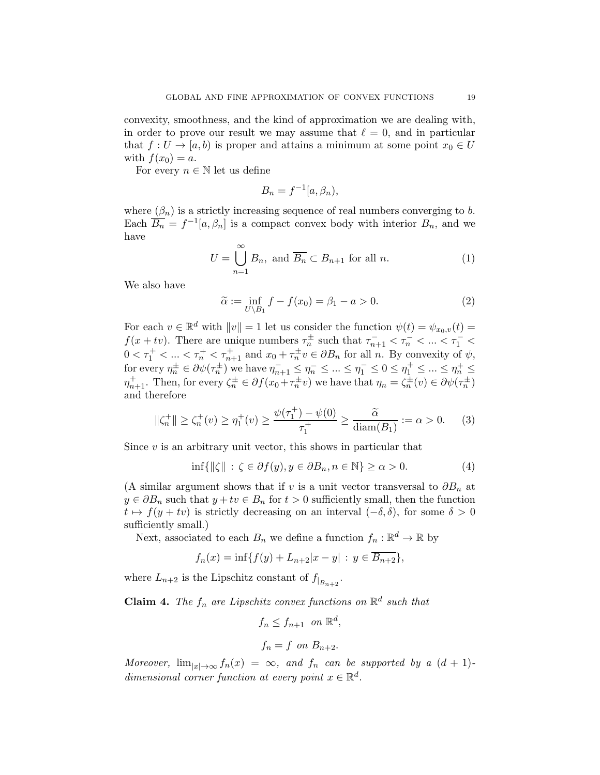convexity, smoothness, and the kind of approximation we are dealing with, in order to prove our result we may assume that  $\ell = 0$ , and in particular that  $f: U \to [a, b)$  is proper and attains a minimum at some point  $x_0 \in U$ with  $f(x_0) = a$ .

For every  $n \in \mathbb{N}$  let us define

$$
B_n = f^{-1}[a, \beta_n),
$$

where  $(\beta_n)$  is a strictly increasing sequence of real numbers converging to b. Each  $\overline{B_n} = f^{-1}[a, \beta_n]$  is a compact convex body with interior  $B_n$ , and we have

$$
U = \bigcup_{n=1}^{\infty} B_n, \text{ and } \overline{B_n} \subset B_{n+1} \text{ for all } n.
$$
 (1)

We also have

$$
\widetilde{\alpha} := \inf_{U \setminus B_1} f - f(x_0) = \beta_1 - a > 0. \tag{2}
$$

For each  $v \in \mathbb{R}^d$  with  $||v|| = 1$  let us consider the function  $\psi(t) = \psi_{x_0,v}(t) =$  $f(x+tv)$ . There are unique numbers  $\tau_n^{\pm}$  such that  $\tau_{n+1}^- < \tau_n^- < ... < \tau_1^- <$  $0 < \tau_1^+ < \ldots < \tau_n^+ < \tau_{n+1}^+$  and  $x_0 + \tau_n^{\pm} v \in \partial B_n$  for all n. By convexity of  $\psi$ , for every  $\eta_n^{\pm} \in \partial \psi(\tau_n^{\pm})$  we have  $\eta_{n+1}^- \leq \eta_n^- \leq ... \leq \eta_1^- \leq 0 \leq \eta_1^+ \leq ... \leq \eta_n^+ \leq$  $\eta_{n+1}^{\pm}$ . Then, for every  $\zeta_n^{\pm} \in \partial f(x_0 + \tau_n^{\pm} v)$  we have that  $\eta_n = \zeta_n^{\pm}(v) \in \partial \psi(\tau_n^{\pm})$ and therefore

$$
\|\zeta_n^+\| \ge \zeta_n^+(v) \ge \eta_1^+(v) \ge \frac{\psi(\tau_1^+) - \psi(0)}{\tau_1^+} \ge \frac{\tilde{\alpha}}{\text{diam}(B_1)} := \alpha > 0. \tag{3}
$$

Since  $v$  is an arbitrary unit vector, this shows in particular that

$$
\inf\{\|\zeta\| \, : \, \zeta \in \partial f(y), y \in \partial B_n, n \in \mathbb{N}\} \ge \alpha > 0. \tag{4}
$$

(A similar argument shows that if v is a unit vector transversal to  $\partial B_n$  at  $y \in \partial B_n$  such that  $y + tv \in B_n$  for  $t > 0$  sufficiently small, then the function  $t \mapsto f(y + tv)$  is strictly decreasing on an interval  $(-\delta, \delta)$ , for some  $\delta > 0$ sufficiently small.)

Next, associated to each  $B_n$  we define a function  $f_n : \mathbb{R}^d \to \mathbb{R}$  by

$$
f_n(x) = \inf\{f(y) + L_{n+2}|x - y| : y \in \overline{B_{n+2}}\},\
$$

where  $L_{n+2}$  is the Lipschitz constant of  $f_{|B_{n+2}}$ .

**Claim 4.** The  $f_n$  are Lipschitz convex functions on  $\mathbb{R}^d$  such that

$$
f_n \le f_{n+1} \quad on \ \mathbb{R}^d,
$$

$$
f_n = f \text{ on } B_{n+2}.
$$

Moreover,  $\lim_{|x|\to\infty} f_n(x) = \infty$ , and  $f_n$  can be supported by a  $(d+1)$ dimensional corner function at every point  $x \in \mathbb{R}^d$ .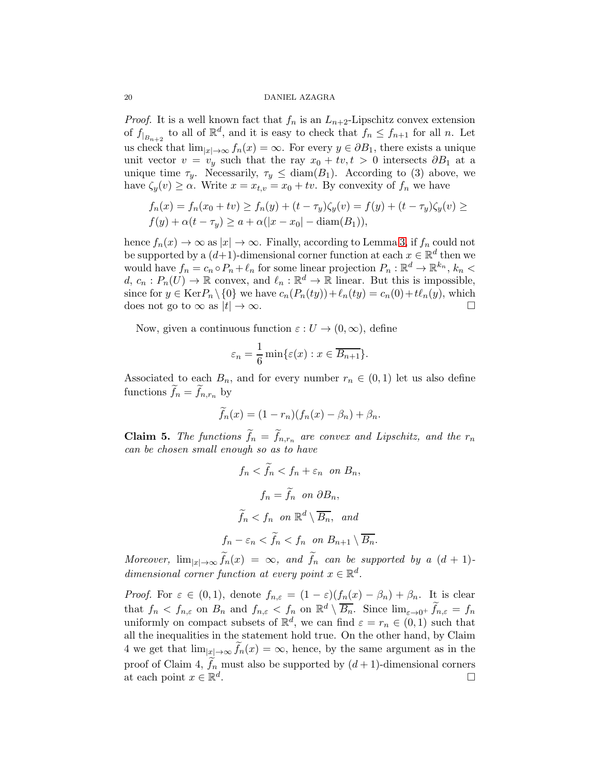*Proof.* It is a well known fact that  $f_n$  is an  $L_{n+2}$ -Lipschitz convex extension of  $f_{|B_{n+2}}$  to all of  $\mathbb{R}^d$ , and it is easy to check that  $f_n \le f_{n+1}$  for all n. Let us check that  $\lim_{|x|\to\infty} f_n(x) = \infty$ . For every  $y \in \partial B_1$ , there exists a unique unit vector  $v = v_y$  such that the ray  $x_0 + tv, t > 0$  intersects  $\partial B_1$  at a unique time  $\tau_y$ . Necessarily,  $\tau_y \leq \text{diam}(B_1)$ . According to (3) above, we have  $\zeta_y(v) \geq \alpha$ . Write  $x = x_{t,v} = x_0 + tv$ . By convexity of  $f_n$  we have

$$
f_n(x) = f_n(x_0 + tv) \ge f_n(y) + (t - \tau_y)\zeta_y(v) = f(y) + (t - \tau_y)\zeta_y(v) \ge f(y) + \alpha(t - \tau_y) \ge a + \alpha(|x - x_0| - \operatorname{diam}(B_1)),
$$

hence  $f_n(x) \to \infty$  as  $|x| \to \infty$ . Finally, according to Lemma [3,](#page-14-0) if  $f_n$  could not be supported by a  $(d+1)$ -dimensional corner function at each  $x \in \mathbb{R}^d$  then we would have  $f_n = c_n \circ P_n + \ell_n$  for some linear projection  $P_n : \mathbb{R}^d \to \mathbb{R}^{k_n}$ ,  $k_n <$  $d, c_n : P_n(U) \to \mathbb{R}$  convex, and  $\ell_n : \mathbb{R}^d \to \mathbb{R}$  linear. But this is impossible, since for  $y \in \text{Ker} P_n \setminus \{0\}$  we have  $c_n(P_n(ty)) + \ell_n(ty) = c_n(0) + t\ell_n(y)$ , which does not go to  $\infty$  as  $|t| \to \infty$ .

Now, given a continuous function  $\varepsilon : U \to (0,\infty)$ , define

$$
\varepsilon_n = \frac{1}{6} \min \{ \varepsilon(x) : x \in \overline{B_{n+1}} \}.
$$

Associated to each  $B_n$ , and for every number  $r_n \in (0,1)$  let us also define functions  $f_n = f_{n,r_n}$  by

$$
\widetilde{f}_n(x) = (1 - r_n)(f_n(x) - \beta_n) + \beta_n.
$$

**Claim 5.** The functions  $f_n = f_{n,r_n}$  are convex and Lipschitz, and the  $r_n$ can be chosen small enough so as to have

$$
f_n < f_n < f_n + \varepsilon_n \quad \text{on } B_n,
$$
\n
$$
f_n = \tilde{f}_n \quad \text{on } \partial B_n,
$$
\n
$$
\tilde{f}_n < f_n \quad \text{on } \mathbb{R}^d \setminus \overline{B_n}, \quad \text{and}
$$
\n
$$
f_n - \varepsilon_n < \tilde{f}_n < f_n \quad \text{on } B_{n+1} \setminus \overline{B_n}.
$$

Moreover,  $\lim_{|x| \to \infty} f_n(x) = \infty$ , and  $f_n$  can be supported by a  $(d + 1)$ dimensional corner function at every point  $x \in \mathbb{R}^d$ .

*Proof.* For  $\varepsilon \in (0,1)$ , denote  $f_{n,\varepsilon} = (1-\varepsilon)(f_n(x)-\beta_n) + \beta_n$ . It is clear that  $f_n < f_{n,\varepsilon}$  on  $B_n$  and  $f_{n,\varepsilon} < f_n$  on  $\mathbb{R}^d \setminus \overline{B_n}$ . Since  $\lim_{\varepsilon \to 0^+} \widetilde{f}_{n,\varepsilon} = f_n$ uniformly on compact subsets of  $\mathbb{R}^d$ , we can find  $\varepsilon = r_n \in (0,1)$  such that all the inequalities in the statement hold true. On the other hand, by Claim 4 we get that  $\lim_{|x| \to \infty} f_n(x) = \infty$ , hence, by the same argument as in the proof of Claim 4,  $f_n$  must also be supported by  $(d+1)$ -dimensional corners at each point  $x \in \mathbb{R}^d$ .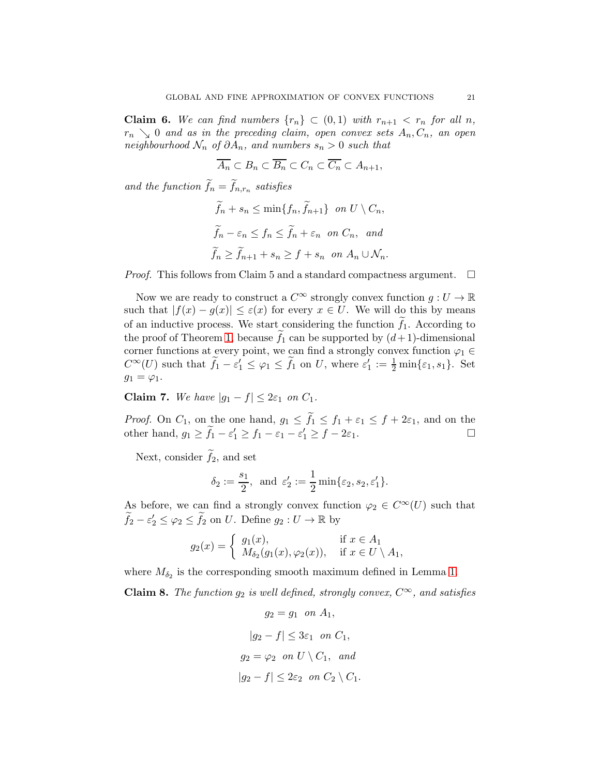**Claim 6.** We can find numbers  $\{r_n\} \subset (0,1)$  with  $r_{n+1} < r_n$  for all n,  $r_n \searrow 0$  and as in the preceding claim, open convex sets  $A_n, C_n$ , an open neighbourhood  $\mathcal{N}_n$  of  $\partial A_n$ , and numbers  $s_n > 0$  such that

$$
\overline{A_n} \subset B_n \subset \overline{B_n} \subset C_n \subset \overline{C_n} \subset A_{n+1},
$$

and the function  $f_n = f_{n,r_n}$  satisfies

$$
\tilde{f}_n + s_n \le \min\{f_n, \tilde{f}_{n+1}\} \text{ on } U \setminus C_n,
$$
  

$$
\tilde{f}_n - \varepsilon_n \le f_n \le \tilde{f}_n + \varepsilon_n \text{ on } C_n, \text{ and}
$$
  

$$
\tilde{f}_n \ge \tilde{f}_{n+1} + s_n \ge f + s_n \text{ on } A_n \cup \mathcal{N}_n.
$$

*Proof.* This follows from Claim 5 and a standard compactness argument.  $\square$ 

Now we are ready to construct a  $C^{\infty}$  strongly convex function  $q: U \to \mathbb{R}$ such that  $|f(x) - g(x)| \leq \varepsilon(x)$  for every  $x \in U$ . We will do this by means of an inductive process. We start considering the function  $f_1$ . According to the proof of Theorem [1,](#page-2-1) because  $f_1$  can be supported by  $(d+1)$ -dimensional corner functions at every point, we can find a strongly convex function  $\varphi_1 \in$  $C^{\infty}(U)$  such that  $\tilde{f}_1 - \varepsilon_1' \leq \varphi_1 \leq \tilde{f}_1$  on U, where  $\varepsilon_1' := \frac{1}{2} \min\{\varepsilon_1, s_1\}$ . Set  $g_1 = \varphi_1.$ 

Claim 7. We have  $|g_1 - f| \leq 2\varepsilon_1$  on  $C_1$ .

*Proof.* On  $C_1$ , on the one hand,  $g_1 \leq f_1 \leq f_1 + \varepsilon_1 \leq f_1 + 2\varepsilon_1$ , and on the other hand,  $g_1 \geq \tilde{f}_1 - \varepsilon_1' \geq f_1 - \varepsilon_1 - \varepsilon_1' \geq f - 2\varepsilon_1$ .

Next, consider  $f_2$ , and set

$$
\delta_2 := \frac{s_1}{2}
$$
, and  $\varepsilon'_2 := \frac{1}{2} \min{\varepsilon_2, s_2, \varepsilon'_1}$ .

As before, we can find a strongly convex function  $\varphi_2 \in C^{\infty}(U)$  such that  $\widetilde{f}_2 - \varepsilon_2' \leq \varphi_2 \leq \widetilde{f}_2$  on U. Define  $g_2 : U \to \mathbb{R}$  by

$$
g_2(x) = \begin{cases} g_1(x), & \text{if } x \in A_1 \\ M_{\delta_2}(g_1(x), \varphi_2(x)), & \text{if } x \in U \setminus A_1, \end{cases}
$$

where  $M_{\delta_2}$  is the corresponding smooth maximum defined in Lemma [1.](#page-6-0)

**Claim 8.** The function  $g_2$  is well defined, strongly convex,  $C^{\infty}$ , and satisfies

$$
g_2 = g_1 \quad on \ A_1,
$$
  
\n
$$
|g_2 - f| \leq 3\varepsilon_1 \quad on \ C_1,
$$
  
\n
$$
g_2 = \varphi_2 \quad on \ U \setminus C_1, \ \ and
$$
  
\n
$$
|g_2 - f| \leq 2\varepsilon_2 \quad on \ C_2 \setminus C_1.
$$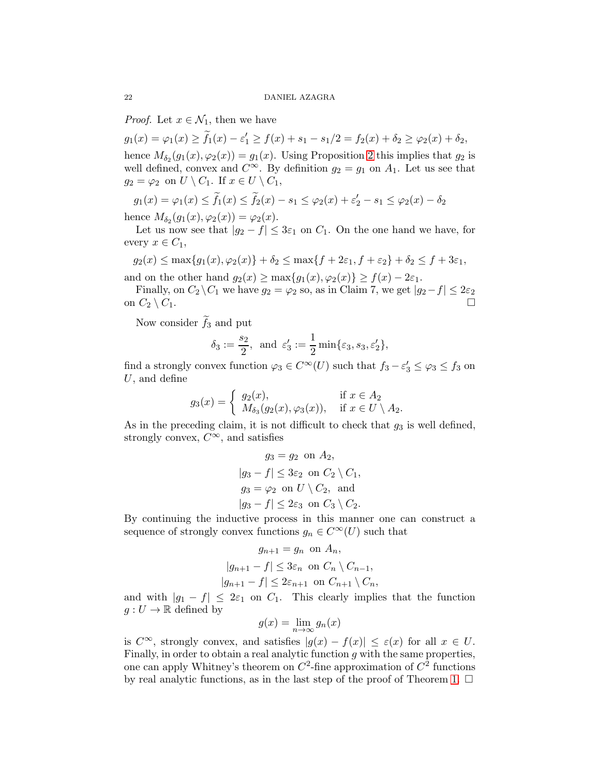*Proof.* Let  $x \in \mathcal{N}_1$ , then we have

 $g_1(x) = \varphi_1(x) \ge \tilde{f}_1(x) - \varepsilon_1' \ge f(x) + s_1 - s_1/2 = f_2(x) + \delta_2 \ge \varphi_2(x) + \delta_2,$ 

hence  $M_{\delta_2}(g_1(x), \varphi_2(x)) = g_1(x)$ . Using Proposition [2](#page-7-0) this implies that  $g_2$  is well defined, convex and  $C^{\infty}$ . By definition  $g_2 = g_1$  on  $A_1$ . Let us see that  $g_2 = \varphi_2$  on  $U \setminus C_1$ . If  $x \in U \setminus C_1$ ,

$$
g_1(x) = \varphi_1(x) \le \tilde{f}_1(x) \le \tilde{f}_2(x) - s_1 \le \varphi_2(x) + \varepsilon_2' - s_1 \le \varphi_2(x) - \delta_2
$$

hence  $M_{\delta_2}(g_1(x), \varphi_2(x)) = \varphi_2(x)$ .

Let us now see that  $|g_2 - f| \leq 3\varepsilon_1$  on  $C_1$ . On the one hand we have, for every  $x \in C_1$ ,

$$
g_2(x) \le \max\{g_1(x), \varphi_2(x)\} + \delta_2 \le \max\{f + 2\varepsilon_1, f + \varepsilon_2\} + \delta_2 \le f + 3\varepsilon_1,
$$

and on the other hand  $g_2(x) \ge \max\{g_1(x), \varphi_2(x)\} \ge f(x) - 2\varepsilon_1$ . Finally, on  $C_2 \backslash C_1$  we have  $g_2 = \varphi_2$  so, as in Claim 7, we get  $|g_2 - f| \leq 2\varepsilon_2$ 

on  $C_2 \setminus C_1$ .

Now consider  $f_3$  and put

$$
\delta_3 := \frac{s_2}{2}, \text{ and } \varepsilon_3' := \frac{1}{2} \min\{\varepsilon_3, s_3, \varepsilon_2'\},
$$

find a strongly convex function  $\varphi_3 \in C^{\infty}(U)$  such that  $f_3 - \varepsilon_3' \leq \varphi_3 \leq f_3$  on U, and define

$$
g_3(x) = \begin{cases} g_2(x), & \text{if } x \in A_2 \\ M_{\delta_3}(g_2(x), \varphi_3(x)), & \text{if } x \in U \setminus A_2. \end{cases}
$$

As in the preceding claim, it is not difficult to check that  $g_3$  is well defined, strongly convex,  $C^{\infty}$ , and satisfies

$$
g_3 = g_2 \text{ on } A_2,
$$
  
\n
$$
|g_3 - f| \leq 3\varepsilon_2 \text{ on } C_2 \setminus C_1,
$$
  
\n
$$
g_3 = \varphi_2 \text{ on } U \setminus C_2, \text{ and}
$$
  
\n
$$
|g_3 - f| \leq 2\varepsilon_3 \text{ on } C_3 \setminus C_2.
$$

By continuing the inductive process in this manner one can construct a sequence of strongly convex functions  $g_n \in C^{\infty}(U)$  such that

$$
g_{n+1} = g_n \text{ on } A_n,
$$
  
\n
$$
|g_{n+1} - f| \le 3\varepsilon_n \text{ on } C_n \setminus C_{n-1},
$$
  
\n
$$
|g_{n+1} - f| \le 2\varepsilon_{n+1} \text{ on } C_{n+1} \setminus C_n,
$$

and with  $|g_1 - f| \leq 2\varepsilon_1$  on  $C_1$ . This clearly implies that the function  $g: U \to \mathbb{R}$  defined by

$$
g(x) = \lim_{n \to \infty} g_n(x)
$$

is  $C^{\infty}$ , strongly convex, and satisfies  $|g(x) - f(x)| \leq \varepsilon(x)$  for all  $x \in U$ . Finally, in order to obtain a real analytic function  $g$  with the same properties, one can apply Whitney's theorem on  $C^2$ -fine approximation of  $C^2$  functions by real analytic functions, as in the last step of the proof of Theorem [1.](#page-2-1)  $\Box$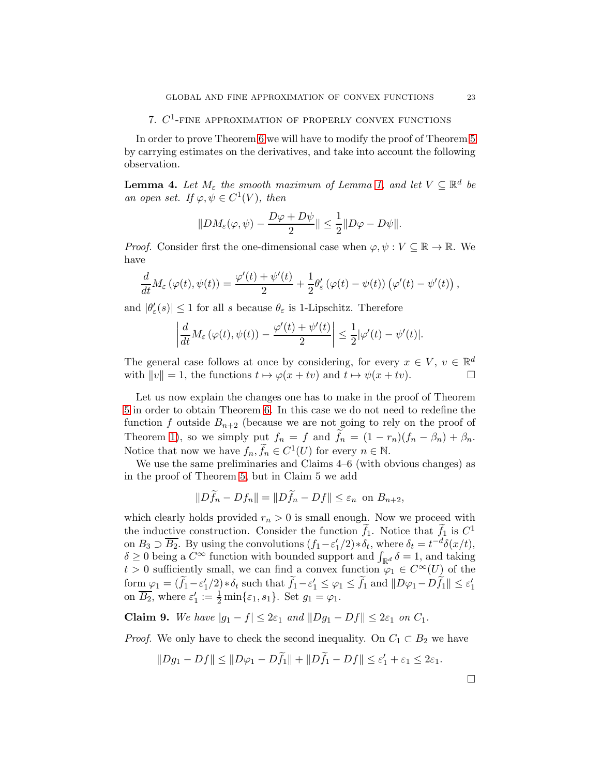# 7.  $C^1$ -fine approximation of properly convex functions

In order to prove Theorem [6](#page-5-1) we will have to modify the proof of Theorem [5](#page-5-0) by carrying estimates on the derivatives, and take into account the following observation.

**Lemma 4.** Let  $M_{\varepsilon}$  the smooth maximum of Lemma [1,](#page-6-0) and let  $V \subseteq \mathbb{R}^d$  be an open set. If  $\varphi, \psi \in C^1(V)$ , then

$$
||DM_{\varepsilon}(\varphi, \psi) - \frac{D\varphi + D\psi}{2}|| \leq \frac{1}{2} ||D\varphi - D\psi||.
$$

*Proof.* Consider first the one-dimensional case when  $\varphi, \psi : V \subseteq \mathbb{R} \to \mathbb{R}$ . We have

$$
\frac{d}{dt}M_{\varepsilon}\left(\varphi(t),\psi(t)\right)=\frac{\varphi'(t)+\psi'(t)}{2}+\frac{1}{2}\theta'_{\varepsilon}\left(\varphi(t)-\psi(t)\right)\left(\varphi'(t)-\psi'(t)\right),
$$

and  $|\theta'_{\varepsilon}(s)| \leq 1$  for all s because  $\theta_{\varepsilon}$  is 1-Lipschitz. Therefore

$$
\left|\frac{d}{dt}M_{\varepsilon}\left(\varphi(t),\psi(t)\right)-\frac{\varphi'(t)+\psi'(t)}{2}\right|\leq \frac{1}{2}|\varphi'(t)-\psi'(t)|.
$$

The general case follows at once by considering, for every  $x \in V$ ,  $v \in \mathbb{R}^d$ with  $||v|| = 1$ , the functions  $t \mapsto \varphi(x + tv)$  and  $t \mapsto \psi(x + tv)$ .

Let us now explain the changes one has to make in the proof of Theorem [5](#page-5-0) in order to obtain Theorem [6.](#page-5-1) In this case we do not need to redefine the function f outside  $B_{n+2}$  (because we are not going to rely on the proof of Theorem [1\)](#page-2-1), so we simply put  $f_n = f$  and  $f_n = (1 - r_n)(f_n - \beta_n) + \beta_n$ . Notice that now we have  $f_n, \tilde{f}_n \in C^1(U)$  for every  $n \in \mathbb{N}$ .

We use the same preliminaries and Claims 4–6 (with obvious changes) as in the proof of Theorem [5,](#page-5-0) but in Claim 5 we add

$$
||Df_n - Df_n|| = ||Df_n - Df|| \le \varepsilon_n \text{ on } B_{n+2},
$$

which clearly holds provided  $r_n > 0$  is small enough. Now we proceed with the inductive construction. Consider the function  $f_1$ . Notice that  $f_1$  is  $C^1$ on  $B_3 \supset \overline{B_2}$ . By using the convolutions  $(f_1 - \varepsilon_1'/2) * \delta_t$ , where  $\delta_t = t^{-d} \delta(x/t)$ ,  $\delta \geq 0$  being a  $\dot{C}^{\infty}$  function with bounded support and  $\int_{\mathbb{R}^d} \delta = 1$ , and taking  $t > 0$  sufficiently small, we can find a convex function  $\varphi_1 \in C^{\infty}(U)$  of the  $\text{form } \varphi_1 = (\tilde{f}_1 - \varepsilon_1'/2) * \delta_t \text{ such that } \tilde{f}_1 - \varepsilon_1' \leq \varphi_1 \leq \tilde{f}_1 \text{ and } ||D\varphi_1 - D\tilde{f}_1|| \leq \varepsilon_1'$ on  $\overline{B_2}$ , where  $\varepsilon_1' := \frac{1}{2} \min\{\varepsilon_1, s_1\}$ . Set  $g_1 = \varphi_1$ .

Claim 9. We have  $|g_1 - f| \leq 2\varepsilon_1$  and  $||Dg_1 - Df|| \leq 2\varepsilon_1$  on  $C_1$ .

*Proof.* We only have to check the second inequality. On  $C_1 \subset B_2$  we have

$$
||Dg_1 - Df|| \le ||D\varphi_1 - D\widetilde{f}_1|| + ||D\widetilde{f}_1 - Df|| \le \varepsilon'_1 + \varepsilon_1 \le 2\varepsilon_1.
$$

 $\Box$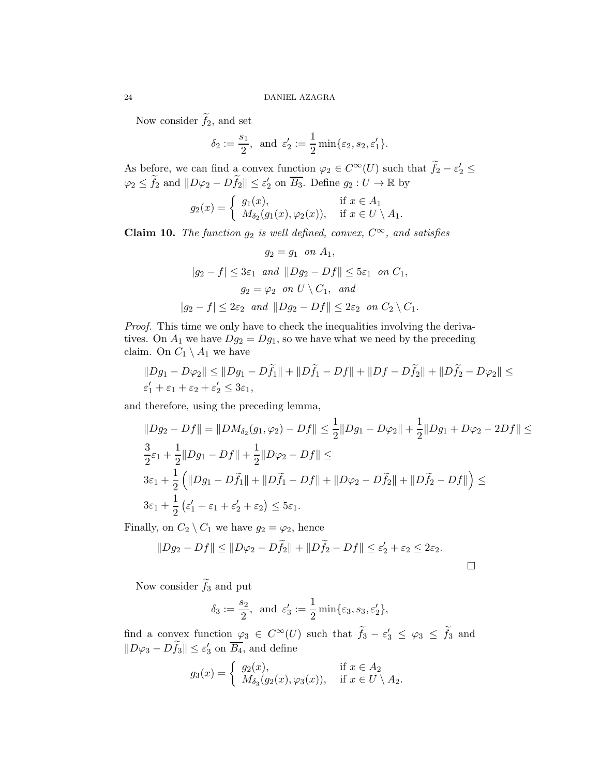Now consider  $f_2$ , and set

$$
\delta_2 := \frac{s_1}{2}
$$
, and  $\varepsilon'_2 := \frac{1}{2} \min{\varepsilon_2, s_2, \varepsilon'_1}$ .

As before, we can find a convex function  $\varphi_2 \in C^{\infty}(U)$  such that  $f_2 - \varepsilon_2' \leq$  $\varphi_2 \leq \tilde{f}_2$  and  $||D\varphi_2 - D\tilde{f}_2|| \leq \varepsilon_2'$  on  $\overline{B_3}$ . Define  $g_2: U \to \mathbb{R}$  by

$$
g_2(x) = \begin{cases} g_1(x), & \text{if } x \in A_1 \\ M_{\delta_2}(g_1(x), \varphi_2(x)), & \text{if } x \in U \setminus A_1. \end{cases}
$$

Claim 10. The function  $g_2$  is well defined, convex,  $C^{\infty}$ , and satisfies

$$
g_2 = g_1 \quad on \ A_1,
$$
  
\n
$$
|g_2 - f| \le 3\varepsilon_1 \quad and \quad ||Dg_2 - Df|| \le 5\varepsilon_1 \quad on \ C_1,
$$
  
\n
$$
g_2 = \varphi_2 \quad on \ U \setminus C_1, \quad and
$$
  
\n
$$
|g_2 - f| \le 2\varepsilon_2 \quad and \quad ||Dg_2 - Df|| \le 2\varepsilon_2 \quad on \ C_2 \setminus C_1.
$$

Proof. This time we only have to check the inequalities involving the derivatives. On  $A_1$  we have  $Dg_2 = Dg_1$ , so we have what we need by the preceding claim. On  $C_1 \setminus A_1$  we have

$$
||Dg_1 - D\varphi_2|| \le ||Dg_1 - D\tilde{f}_1|| + ||D\tilde{f}_1 - Df|| + ||Df - D\tilde{f}_2|| + ||D\tilde{f}_2 - D\varphi_2|| \le
$$
  

$$
\varepsilon'_1 + \varepsilon_1 + \varepsilon_2 + \varepsilon'_2 \le 3\varepsilon_1,
$$

and therefore, using the preceding lemma,

$$
||Dg_2 - Df|| = ||DM_{\delta_2}(g_1, \varphi_2) - Df|| \le \frac{1}{2} ||Dg_1 - D\varphi_2|| + \frac{1}{2} ||Dg_1 + D\varphi_2 - 2Df|| \le
$$
  
\n
$$
\frac{3}{2}\varepsilon_1 + \frac{1}{2} ||Dg_1 - Df|| + \frac{1}{2} ||D\varphi_2 - Df|| \le
$$
  
\n
$$
3\varepsilon_1 + \frac{1}{2} (||Dg_1 - D\tilde{f}_1|| + ||D\tilde{f}_1 - Df|| + ||D\varphi_2 - D\tilde{f}_2|| + ||D\tilde{f}_2 - Df||) \le
$$
  
\n
$$
3\varepsilon_1 + \frac{1}{2} (\varepsilon_1' + \varepsilon_1 + \varepsilon_2' + \varepsilon_2) \le 5\varepsilon_1.
$$

Finally, on  $C_2 \setminus C_1$  we have  $g_2 = \varphi_2$ , hence

$$
||Dg_2 - Df|| \le ||D\varphi_2 - D\widetilde{f}_2|| + ||D\widetilde{f}_2 - Df|| \le \varepsilon'_2 + \varepsilon_2 \le 2\varepsilon_2.
$$

Now consider  $f_3$  and put

$$
\delta_3 := \frac{s_2}{2}
$$
, and  $\varepsilon'_3 := \frac{1}{2} \min{\varepsilon_3, s_3, \varepsilon'_2}$ ,

find a convex function  $\varphi_3 \in C^{\infty}(U)$  such that  $f_3 - \varepsilon_3' \leq \varphi_3 \leq f_3$  and  $||D\varphi_3 - D\tilde{f}_3|| \leq \varepsilon_3'$  on  $\overline{B_4}$ , and define

$$
g_3(x) = \begin{cases} g_2(x), & \text{if } x \in A_2 \\ M_{\delta_3}(g_2(x), \varphi_3(x)), & \text{if } x \in U \setminus A_2. \end{cases}
$$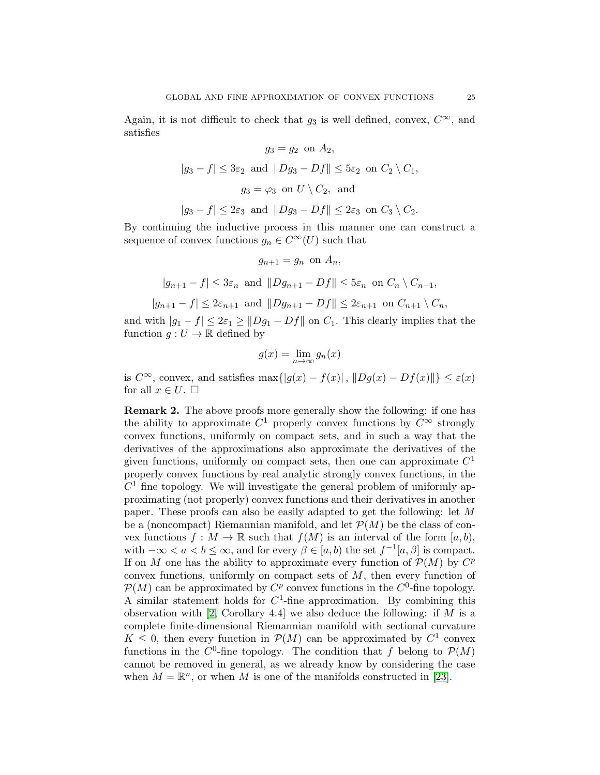Again, it is not difficult to check that  $g_3$  is well defined, convex,  $C^{\infty}$ , and satisfies

$$
g_3 = g_2 \text{ on } A_2,
$$
  
\n
$$
|g_3 - f| \le 3\varepsilon_2 \text{ and } ||Dg_3 - Df|| \le 5\varepsilon_2 \text{ on } C_2 \setminus C_1,
$$
  
\n
$$
g_3 = \varphi_3 \text{ on } U \setminus C_2, \text{ and }
$$
  
\n
$$
|g_3 - f| \le 2\varepsilon_3 \text{ and } ||Dg_3 - Df|| \le 2\varepsilon_3 \text{ on } C_3 \setminus C_2.
$$

By continuing the inductive process in this manner one can construct a sequence of convex functions  $g_n \in C^{\infty}(U)$  such that

$$
g_{n+1} = g_n \text{ on } A_n,
$$

$$
|g_{n+1} - f| \leq 3\varepsilon_n
$$
 and  $||Dg_{n+1} - Df|| \leq 5\varepsilon_n$  on  $C_n \setminus C_{n-1}$ ,

$$
|g_{n+1}-f| \leq 2\varepsilon_{n+1} \text{ and } ||Dg_{n+1}-Df|| \leq 2\varepsilon_{n+1} \text{ on } C_{n+1} \setminus C_n,
$$

and with  $|g_1 - f| \leq 2\varepsilon_1 \geq ||Dg_1 - Df||$  on  $C_1$ . This clearly implies that the function  $g: U \to \mathbb{R}$  defined by

$$
g(x) = \lim_{n \to \infty} g_n(x)
$$

is  $C^{\infty}$ , convex, and satisfies max $\{|g(x) - f(x)|, \|Dg(x) - Df(x)\|\} \leq \varepsilon(x)$ for all  $x \in U$ .  $\square$ 

Remark 2. The above proofs more generally show the following: if one has the ability to approximate  $C^1$  properly convex functions by  $C^{\infty}$  strongly convex functions, uniformly on compact sets, and in such a way that the derivatives of the approximations also approximate the derivatives of the given functions, uniformly on compact sets, then one can approximate  $C<sup>1</sup>$ properly convex functions by real analytic strongly convex functions, in the  $C<sup>1</sup>$  fine topology. We will investigate the general problem of uniformly approximating (not properly) convex functions and their derivatives in another paper. These proofs can also be easily adapted to get the following: let M be a (noncompact) Riemannian manifold, and let  $\mathcal{P}(M)$  be the class of convex functions  $f : M \to \mathbb{R}$  such that  $f(M)$  is an interval of the form  $[a, b)$ , with  $-\infty < a < b \leq \infty$ , and for every  $\beta \in [a, b)$  the set  $f^{-1}[a, \beta]$  is compact. If on M one has the ability to approximate every function of  $\mathcal{P}(M)$  by  $C^p$ convex functions, uniformly on compact sets of M, then every function of  $\mathcal{P}(M)$  can be approximated by  $C^p$  convex functions in the  $C^0$ -fine topology. A similar statement holds for  $C<sup>1</sup>$ -fine approximation. By combining this observation with [\[2,](#page-28-12) Corollary 4.4] we also deduce the following: if  $M$  is a complete finite-dimensional Riemannian manifold with sectional curvature  $K \leq 0$ , then every function in  $\mathcal{P}(M)$  can be approximated by  $C^1$  convex functions in the  $C^0$ -fine topology. The condition that f belong to  $\mathcal{P}(M)$ cannot be removed in general, as we already know by considering the case when  $M = \mathbb{R}^n$ , or when M is one of the manifolds constructed in [\[23\]](#page-29-0).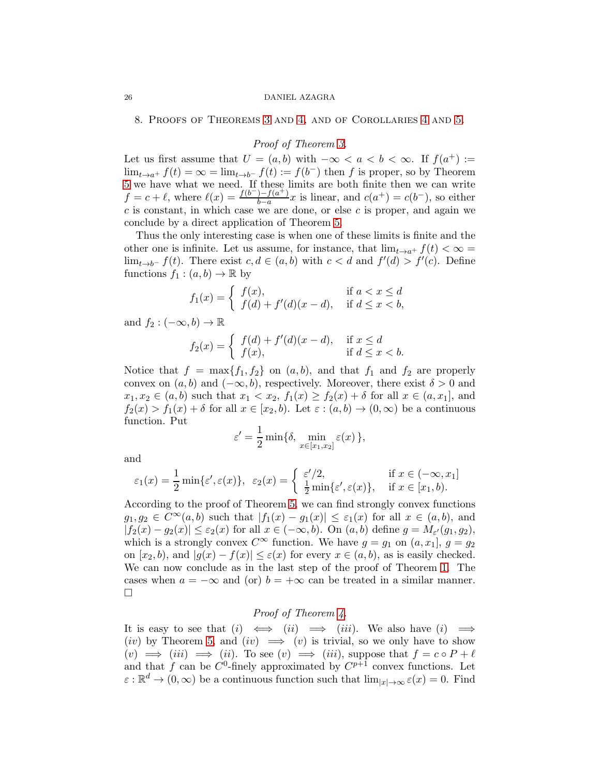8. Proofs of Theorems [3](#page-4-0) and [4,](#page-4-1) and of Corollaries [4](#page-5-2) and [5.](#page-5-3)

# Proof of Theorem [3.](#page-4-0)

Let us first assume that  $U = (a, b)$  with  $-\infty < a < b < \infty$ . If  $f(a^+) :=$  $\lim_{t\to a^+} f(t) = \infty = \lim_{t\to b^-} f(t) := f(b^-)$  then f is proper, so by Theorem [5](#page-5-0) we have what we need. If these limits are both finite then we can write  $f = c + \ell$ , where  $\ell(x) = \frac{f(b^-) - f(a^+)}{b-a}$  $\frac{b-a}{b-a}x$  is linear, and  $c(a^+) = c(b^-)$ , so either  $c$  is constant, in which case we are done, or else  $c$  is proper, and again we conclude by a direct application of Theorem [5.](#page-5-0)

Thus the only interesting case is when one of these limits is finite and the other one is infinite. Let us assume, for instance, that  $\lim_{t\to a^+} f(t) < \infty$  $\lim_{t\to b^-} f(t)$ . There exist  $c, d \in (a, b)$  with  $c < d$  and  $f'(d) > f'(c)$ . Define functions  $f_1 : (a, b) \to \mathbb{R}$  by

$$
f_1(x) = \begin{cases} f(x), & \text{if } a < x \le d \\ f(d) + f'(d)(x - d), & \text{if } d \le x < b, \end{cases}
$$

and  $f_2 : (-\infty, b) \to \mathbb{R}$ 

$$
f_2(x) = \begin{cases} f(d) + f'(d)(x - d), & \text{if } x \le d \\ f(x), & \text{if } d \le x < b. \end{cases}
$$

Notice that  $f = \max\{f_1, f_2\}$  on  $(a, b)$ , and that  $f_1$  and  $f_2$  are properly convex on  $(a, b)$  and  $(-\infty, b)$ , respectively. Moreover, there exist  $\delta > 0$  and  $x_1, x_2 \in (a, b)$  such that  $x_1 < x_2$ ,  $f_1(x) \ge f_2(x) + \delta$  for all  $x \in (a, x_1]$ , and  $f_2(x) > f_1(x) + \delta$  for all  $x \in [x_2, b]$ . Let  $\varepsilon : (a, b) \to (0, \infty)$  be a continuous function. Put

$$
\varepsilon' = \frac{1}{2} \min \{ \delta, \min_{x \in [x_1, x_2]} \varepsilon(x) \},
$$

and

$$
\varepsilon_1(x) = \frac{1}{2} \min \{ \varepsilon', \varepsilon(x) \}, \ \ \varepsilon_2(x) = \begin{cases} \ \varepsilon'/2, & \text{if } x \in (-\infty, x_1] \\ \ \frac{1}{2} \min \{ \varepsilon', \varepsilon(x) \}, & \text{if } x \in [x_1, b). \end{cases}
$$

According to the proof of Theorem [5,](#page-5-0) we can find strongly convex functions  $g_1, g_2 \in C^{\infty}(a, b)$  such that  $|f_1(x) - g_1(x)| \leq \varepsilon_1(x)$  for all  $x \in (a, b)$ , and  $|f_2(x) - g_2(x)| \leq \varepsilon_2(x)$  for all  $x \in (-\infty, b)$ . On  $(a, b)$  define  $g = M_{\varepsilon'}(g_1, g_2)$ , which is a strongly convex  $C^{\infty}$  function. We have  $g = g_1$  on  $(a, x_1], g = g_2$ on  $[x_2, b)$ , and  $|g(x) - f(x)| \leq \varepsilon(x)$  for every  $x \in (a, b)$ , as is easily checked. We can now conclude as in the last step of the proof of Theorem [1.](#page-2-1) The cases when  $a = -\infty$  and (or)  $b = +\infty$  can be treated in a similar manner.  $\Box$ 

## Proof of Theorem [4.](#page-4-1)

It is easy to see that  $(i) \iff (ii) \implies (iii)$ . We also have  $(i) \implies$ (iv) by Theorem [5,](#page-5-0) and (iv)  $\implies$  (v) is trivial, so we only have to show  $(v) \implies (iii) \implies (ii)$ . To see  $(v) \implies (iii)$ , suppose that  $f = c \circ P + \ell$ and that f can be  $C^0$ -finely approximated by  $C^{p+1}$  convex functions. Let  $\varepsilon : \mathbb{R}^d \to (0, \infty)$  be a continuous function such that  $\lim_{|x| \to \infty} \varepsilon(x) = 0$ . Find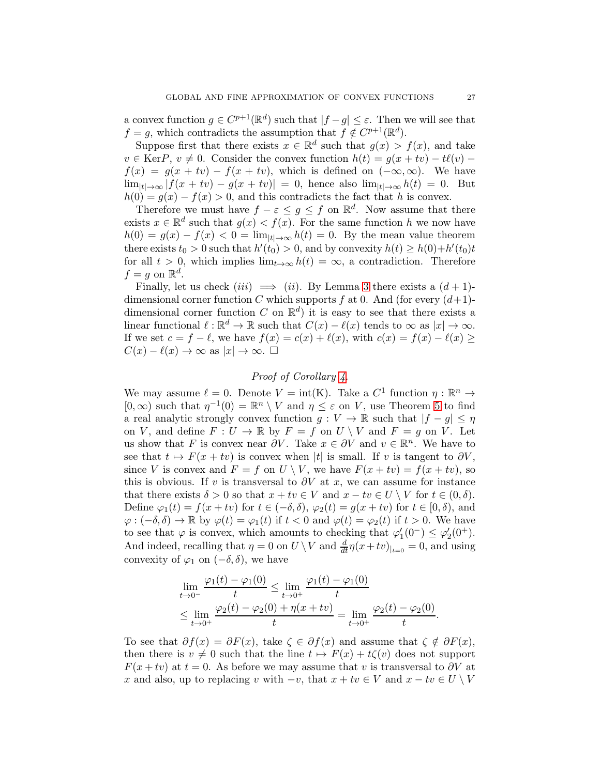a convex function  $g \in C^{p+1}(\mathbb{R}^d)$  such that  $|f - g| \leq \varepsilon$ . Then we will see that  $f = g$ , which contradicts the assumption that  $f \notin C^{p+1}(\mathbb{R}^d)$ .

Suppose first that there exists  $x \in \mathbb{R}^d$  such that  $g(x) > f(x)$ , and take  $v \in \text{Ker}P$ ,  $v \neq 0$ . Consider the convex function  $h(t) = g(x + tv) - t\ell(v)$  $f(x) = g(x + tv) - f(x + tv)$ , which is defined on  $(-\infty, \infty)$ . We have  $\lim_{|t|\to\infty} |f(x+tv) - g(x+tv)| = 0$ , hence also  $\lim_{|t|\to\infty} h(t) = 0$ . But  $h(0) = g(x) - f(x) > 0$ , and this contradicts the fact that h is convex.

Therefore we must have  $f - \varepsilon \leq g \leq f$  on  $\mathbb{R}^d$ . Now assume that there exists  $x \in \mathbb{R}^d$  such that  $g(x) < f(x)$ . For the same function h we now have  $h(0) = g(x) - f(x) < 0 = \lim_{|t| \to \infty} h(t) = 0$ . By the mean value theorem there exists  $t_0 > 0$  such that  $h'(t_0) > 0$ , and by convexity  $h(t) \ge h(0) + h'(t_0)t$ for all  $t > 0$ , which implies  $\lim_{t\to\infty} h(t) = \infty$ , a contradiction. Therefore  $f = g$  on  $\mathbb{R}^d$ .

Finally, let us check  $(iii) \implies (ii)$ . By Lemma [3](#page-14-0) there exists a  $(d+1)$ dimensional corner function C which supports f at 0. And (for every  $(d+1)$ dimensional corner function C on  $\mathbb{R}^d$  it is easy to see that there exists a linear functional  $\ell : \mathbb{R}^d \to \mathbb{R}$  such that  $C(x) - \ell(x)$  tends to  $\infty$  as  $|x| \to \infty$ . If we set  $c = f - \ell$ , we have  $f(x) = c(x) + \ell(x)$ , with  $c(x) = f(x) - \ell(x) \ge$  $C(x) - \ell(x) \to \infty$  as  $|x| \to \infty$ .  $\square$ 

# Proof of Corollary [4.](#page-5-2)

We may assume  $\ell = 0$ . Denote  $V = \text{int}(K)$ . Take a  $C^1$  function  $\eta : \mathbb{R}^n \to$  $[0,\infty)$  such that  $\eta^{-1}(0) = \mathbb{R}^n \setminus V$  and  $\eta \leq \varepsilon$  on V, use Theorem [5](#page-5-0) to find a real analytic strongly convex function  $g: V \to \mathbb{R}$  such that  $|f - g| \leq \eta$ on V, and define  $F: U \to \mathbb{R}$  by  $F = f$  on  $U \setminus V$  and  $F = g$  on V. Let us show that F is convex near  $\partial V$ . Take  $x \in \partial V$  and  $v \in \mathbb{R}^n$ . We have to see that  $t \mapsto F(x + tv)$  is convex when |t| is small. If v is tangent to  $\partial V$ , since V is convex and  $F = f$  on  $U \setminus V$ , we have  $F(x + tv) = f(x + tv)$ , so this is obvious. If v is transversal to  $\partial V$  at x, we can assume for instance that there exists  $\delta > 0$  so that  $x + tv \in V$  and  $x - tv \in U \setminus V$  for  $t \in (0, \delta)$ . Define  $\varphi_1(t) = f(x + tv)$  for  $t \in (-\delta, \delta)$ ,  $\varphi_2(t) = g(x + tv)$  for  $t \in [0, \delta)$ , and  $\varphi: (-\delta, \delta) \to \mathbb{R}$  by  $\varphi(t) = \varphi_1(t)$  if  $t < 0$  and  $\varphi(t) = \varphi_2(t)$  if  $t > 0$ . We have to see that  $\varphi$  is convex, which amounts to checking that  $\varphi'_1(0^-) \leq \varphi'_2(0^+)$ . And indeed, recalling that  $\eta = 0$  on  $U \setminus V$  and  $\frac{d}{dt} \eta(x+tv)_{|_{t=0}} = 0$ , and using convexity of  $\varphi_1$  on  $(-\delta, \delta)$ , we have

$$
\lim_{t \to 0^{-}} \frac{\varphi_1(t) - \varphi_1(0)}{t} \le \lim_{t \to 0^{+}} \frac{\varphi_1(t) - \varphi_1(0)}{t}
$$
\n
$$
\le \lim_{t \to 0^{+}} \frac{\varphi_2(t) - \varphi_2(0) + \eta(x + tv)}{t} = \lim_{t \to 0^{+}} \frac{\varphi_2(t) - \varphi_2(0)}{t}.
$$

To see that  $\partial f(x) = \partial F(x)$ , take  $\zeta \in \partial f(x)$  and assume that  $\zeta \notin \partial F(x)$ , then there is  $v \neq 0$  such that the line  $t \mapsto F(x) + t\zeta(v)$  does not support  $F(x + tv)$  at  $t = 0$ . As before we may assume that v is transversal to  $\partial V$  at x and also, up to replacing v with  $-v$ , that  $x + tv \in V$  and  $x - tv \in U \setminus V$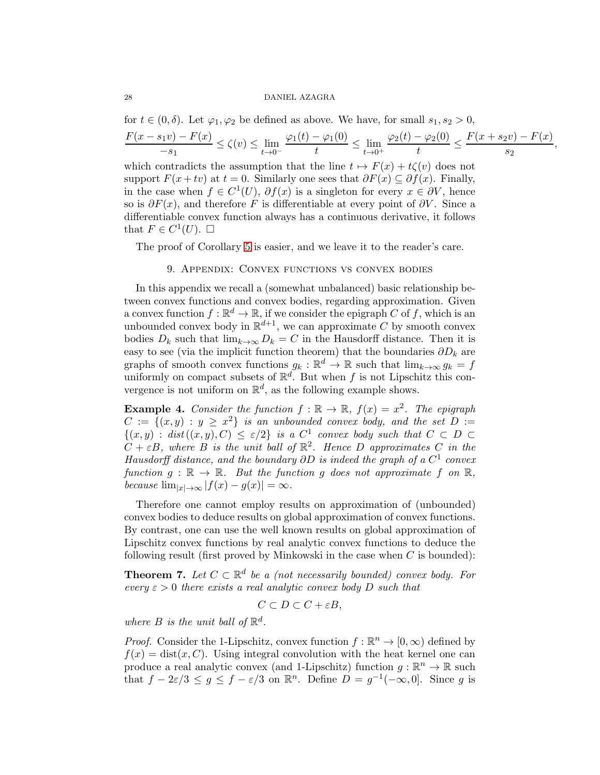for  $t \in (0, \delta)$ . Let  $\varphi_1, \varphi_2$  be defined as above. We have, for small  $s_1, s_2 > 0$ ,  $F(x - s_1v) - F(x)$  $\frac{(-s_1\epsilon)^{1-\epsilon} - s_1}{-s_1} \leq \zeta(v) \leq \lim_{t\to 0^-}$  $\varphi_1(t) - \varphi_1(0)$  $\frac{\varphi_1(\circ)}{t} \leq \lim_{t \to 0^+}$  $\varphi_2(t) - \varphi_2(0)$  $\frac{(-\varphi_2(0)}{t} \le \frac{F(x + s_2v) - F(x)}{s_2}$  $rac{z^{c}}{s_2}, \frac{1}{s_2},$ 

which contradicts the assumption that the line  $t \mapsto F(x) + t\zeta(v)$  does not support  $F(x + tv)$  at  $t = 0$ . Similarly one sees that  $\partial F(x) \subseteq \partial f(x)$ . Finally, in the case when  $f \in C^1(U)$ ,  $\partial f(x)$  is a singleton for every  $x \in \partial V$ , hence so is  $\partial F(x)$ , and therefore F is differentiable at every point of  $\partial V$ . Since a differentiable convex function always has a continuous derivative, it follows that  $F \in C^1(U)$ .  $\square$ 

The proof of Corollary [5](#page-5-3) is easier, and we leave it to the reader's care.

## 9. Appendix: Convex functions vs convex bodies

In this appendix we recall a (somewhat unbalanced) basic relationship between convex functions and convex bodies, regarding approximation. Given a convex function  $f : \mathbb{R}^d \to \mathbb{R}$ , if we consider the epigraph  $C$  of f, which is an unbounded convex body in  $\mathbb{R}^{d+1}$ , we can approximate C by smooth convex bodies  $D_k$  such that  $\lim_{k\to\infty} D_k = C$  in the Hausdorff distance. Then it is easy to see (via the implicit function theorem) that the boundaries  $\partial D_k$  are graphs of smooth convex functions  $g_k : \mathbb{R}^d \to \mathbb{R}$  such that  $\lim_{k \to \infty} g_k = f$ uniformly on compact subsets of  $\mathbb{R}^d$ . But when f is not Lipschitz this convergence is not uniform on  $\mathbb{R}^d$ , as the following example shows.

**Example 4.** Consider the function  $f : \mathbb{R} \to \mathbb{R}$ ,  $f(x) = x^2$ . The epigraph  $C := \{(x, y) : y \geq x^2\}$  is an unbounded convex body, and the set  $D :=$  $\{(x,y) : dist((x,y), C) \leq \varepsilon/2\}$  is a  $C^1$  convex body such that  $C \subset D$  $C + \varepsilon B$ , where B is the unit ball of  $\mathbb{R}^2$ . Hence D approximates C in the Hausdorff distance, and the boundary  $\partial D$  is indeed the graph of a  $C^1$  convex function  $g : \mathbb{R} \to \mathbb{R}$ . But the function g does not approximate f on  $\mathbb{R}$ , because  $\lim_{|x| \to \infty} |f(x) - g(x)| = \infty$ .

Therefore one cannot employ results on approximation of (unbounded) convex bodies to deduce results on global approximation of convex functions. By contrast, one can use the well known results on global approximation of Lipschitz convex functions by real analytic convex functions to deduce the following result (first proved by Minkowski in the case when  $C$  is bounded):

**Theorem 7.** Let  $C \subset \mathbb{R}^d$  be a (not necessarily bounded) convex body. For every  $\varepsilon > 0$  there exists a real analytic convex body D such that

$$
C \subset D \subset C + \varepsilon B,
$$

where  $B$  is the unit ball of  $\mathbb{R}^d$ .

*Proof.* Consider the 1-Lipschitz, convex function  $f : \mathbb{R}^n \to [0, \infty)$  defined by  $f(x) = \text{dist}(x, C)$ . Using integral convolution with the heat kernel one can produce a real analytic convex (and 1-Lipschitz) function  $g : \mathbb{R}^n \to \mathbb{R}$  such that  $f - 2\varepsilon/3 \leq g \leq f - \varepsilon/3$  on  $\mathbb{R}^n$ . Define  $D = g^{-1}(-\infty, 0]$ . Since g is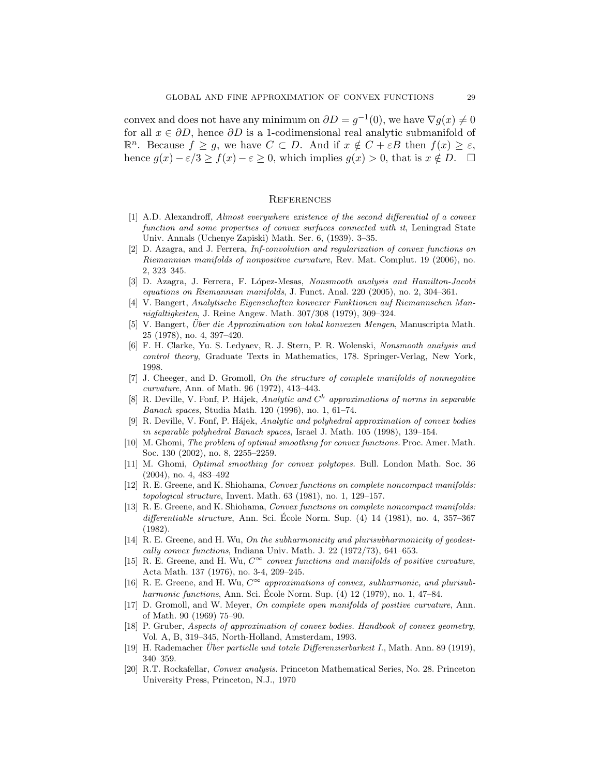convex and does not have any minimum on  $\partial D = g^{-1}(0)$ , we have  $\nabla g(x) \neq 0$ for all  $x \in \partial D$ , hence  $\partial D$  is a 1-codimensional real analytic submanifold of  $\mathbb{R}^n$ . Because  $f \geq g$ , we have  $C \subset D$ . And if  $x \notin C + \varepsilon B$  then  $f(x) \geq \varepsilon$ , hence  $g(x) - \varepsilon/3 \ge f(x) - \varepsilon \ge 0$ , which implies  $g(x) > 0$ , that is  $x \notin D$ .  $\Box$ 

### **REFERENCES**

- [1] A.D. Alexandroff, Almost everywhere existence of the second differential of a convex function and some properties of convex surfaces connected with it, Leningrad State Univ. Annals (Uchenye Zapiski) Math. Ser. 6, (1939). 3–35.
- <span id="page-28-12"></span>[2] D. Azagra, and J. Ferrera, Inf-convolution and regularization of convex functions on Riemannian manifolds of nonpositive curvature, Rev. Mat. Complut. 19 (2006), no. 2, 323–345.
- <span id="page-28-11"></span>[3] D. Azagra, J. Ferrera, F. López-Mesas, Nonsmooth analysis and Hamilton-Jacobi equations on Riemannian manifolds, J. Funct. Anal. 220 (2005), no. 2, 304–361.
- [4] V. Bangert, Analytische Eigenschaften konvexer Funktionen auf Riemannschen Mannigfaltigkeiten, J. Reine Angew. Math. 307/308 (1979), 309–324.
- [5] V. Bangert, *Über die Approximation von lokal konvexen Mengen*, Manuscripta Math. 25 (1978), no. 4, 397–420.
- <span id="page-28-13"></span>[6] F. H. Clarke, Yu. S. Ledyaev, R. J. Stern, P. R. Wolenski, Nonsmooth analysis and control theory, Graduate Texts in Mathematics, 178. Springer-Verlag, New York, 1998.
- <span id="page-28-4"></span>[7] J. Cheeger, and D. Gromoll, On the structure of complete manifolds of nonnegative curvature, Ann. of Math. 96 (1972), 413–443.
- <span id="page-28-7"></span>[8] R. Deville, V. Fonf, P. Hájek, Analytic and  $C<sup>k</sup>$  approximations of norms in separable Banach spaces, Studia Math. 120 (1996), no. 1, 61–74.
- <span id="page-28-8"></span>[9] R. Deville, V. Fonf, P. Hájek, Analytic and polyhedral approximation of convex bodies in separable polyhedral Banach spaces, Israel J. Math. 105 (1998), 139–154.
- <span id="page-28-9"></span>[10] M. Ghomi, The problem of optimal smoothing for convex functions. Proc. Amer. Math. Soc. 130 (2002), no. 8, 2255–2259.
- <span id="page-28-10"></span>[11] M. Ghomi, Optimal smoothing for convex polytopes. Bull. London Math. Soc. 36 (2004), no. 4, 483–492
- <span id="page-28-5"></span>[12] R. E. Greene, and K. Shiohama, Convex functions on complete noncompact manifolds: topological structure, Invent. Math. 63 (1981), no. 1, 129–157.
- <span id="page-28-6"></span>[13] R. E. Greene, and K. Shiohama, Convex functions on complete noncompact manifolds: differentiable structure, Ann. Sci. École Norm. Sup.  $(4)$  14  $(1981)$ , no. 4, 357–367 (1982).
- <span id="page-28-0"></span>[14] R. E. Greene, and H. Wu, On the subharmonicity and plurisubharmonicity of geodesically convex functions, Indiana Univ. Math. J. 22 (1972/73), 641–653.
- <span id="page-28-1"></span>[15] R. E. Greene, and H. Wu,  $C^{\infty}$  convex functions and manifolds of positive curvature, Acta Math. 137 (1976), no. 3-4, 209–245.
- <span id="page-28-2"></span>[16] R. E. Greene, and H. Wu,  $C^{\infty}$  approximations of convex, subharmonic, and plurisubharmonic functions, Ann. Sci. École Norm. Sup.  $(4)$  12  $(1979)$ , no. 1,  $47-84$ .
- <span id="page-28-3"></span>[17] D. Gromoll, and W. Meyer, On complete open manifolds of positive curvature, Ann. of Math. 90 (1969) 75–90.
- [18] P. Gruber, Aspects of approximation of convex bodies. Handbook of convex geometry, Vol. A, B, 319–345, North-Holland, Amsterdam, 1993.
- [19] H. Rademacher *Über partielle und totale Differenzierbarkeit I.*, Math. Ann. 89 (1919), 340–359.
- [20] R.T. Rockafellar, Convex analysis. Princeton Mathematical Series, No. 28. Princeton University Press, Princeton, N.J., 1970